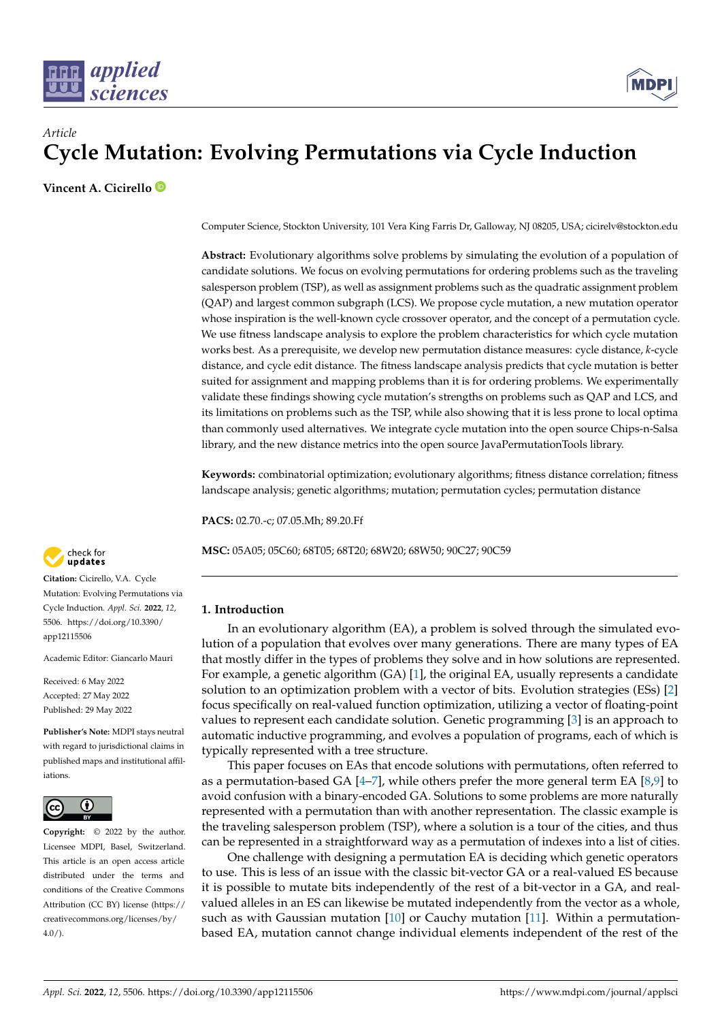



# *Article* **Cycle Mutation: Evolving Permutations via Cycle Induction**

**Vincent A. Cicirello**

Computer Science, Stockton University, 101 Vera King Farris Dr, Galloway, NJ 08205, USA; cicirelv@stockton.edu

**Abstract:** Evolutionary algorithms solve problems by simulating the evolution of a population of candidate solutions. We focus on evolving permutations for ordering problems such as the traveling salesperson problem (TSP), as well as assignment problems such as the quadratic assignment problem (QAP) and largest common subgraph (LCS). We propose cycle mutation, a new mutation operator whose inspiration is the well-known cycle crossover operator, and the concept of a permutation cycle. We use fitness landscape analysis to explore the problem characteristics for which cycle mutation works best. As a prerequisite, we develop new permutation distance measures: cycle distance, *k*-cycle distance, and cycle edit distance. The fitness landscape analysis predicts that cycle mutation is better suited for assignment and mapping problems than it is for ordering problems. We experimentally validate these findings showing cycle mutation's strengths on problems such as QAP and LCS, and its limitations on problems such as the TSP, while also showing that it is less prone to local optima than commonly used alternatives. We integrate cycle mutation into the open source Chips-n-Salsa library, and the new distance metrics into the open source JavaPermutationTools library.

**Keywords:** combinatorial optimization; evolutionary algorithms; fitness distance correlation; fitness landscape analysis; genetic algorithms; mutation; permutation cycles; permutation distance

**PACS:** 02.70.-c; 07.05.Mh; 89.20.Ff

**MSC:** 05A05; 05C60; 68T05; 68T20; 68W20; 68W50; 90C27; 90C59

# **1. Introduction**

In an evolutionary algorithm (EA), a problem is solved through the simulated evolution of a population that evolves over many generations. There are many types of EA that mostly differ in the types of problems they solve and in how solutions are represented. For example, a genetic algorithm (GA) [\[1\]](#page-22-0), the original EA, usually represents a candidate solution to an optimization problem with a vector of bits. Evolution strategies (ESs) [\[2\]](#page-22-1) focus specifically on real-valued function optimization, utilizing a vector of floating-point values to represent each candidate solution. Genetic programming [\[3\]](#page-22-2) is an approach to automatic inductive programming, and evolves a population of programs, each of which is typically represented with a tree structure.

This paper focuses on EAs that encode solutions with permutations, often referred to as a permutation-based GA  $[4–7]$  $[4–7]$ , while others prefer the more general term EA  $[8,9]$  $[8,9]$  to avoid confusion with a binary-encoded GA. Solutions to some problems are more naturally represented with a permutation than with another representation. The classic example is the traveling salesperson problem (TSP), where a solution is a tour of the cities, and thus can be represented in a straightforward way as a permutation of indexes into a list of cities.

One challenge with designing a permutation EA is deciding which genetic operators to use. This is less of an issue with the classic bit-vector GA or a real-valued ES because it is possible to mutate bits independently of the rest of a bit-vector in a GA, and realvalued alleles in an ES can likewise be mutated independently from the vector as a whole, such as with Gaussian mutation [\[10\]](#page-23-0) or Cauchy mutation [\[11\]](#page-23-1). Within a permutationbased EA, mutation cannot change individual elements independent of the rest of the



**Citation:** Cicirello, V.A. Cycle Mutation: Evolving Permutations via Cycle Induction. *Appl. Sci.* **2022**, *12*, 5506. [https://doi.org/10.3390/](https://doi.org/10.3390/app12115506) [app12115506](https://doi.org/10.3390/app12115506)

Academic Editor: Giancarlo Mauri

Received: 6 May 2022 Accepted: 27 May 2022 Published: 29 May 2022

**Publisher's Note:** MDPI stays neutral with regard to jurisdictional claims in published maps and institutional affiliations.



**Copyright:** © 2022 by the author. Licensee MDPI, Basel, Switzerland. This article is an open access article distributed under the terms and conditions of the Creative Commons Attribution (CC BY) license [\(https://](https://creativecommons.org/licenses/by/4.0/) [creativecommons.org/licenses/by/](https://creativecommons.org/licenses/by/4.0/)  $4.0/$ ).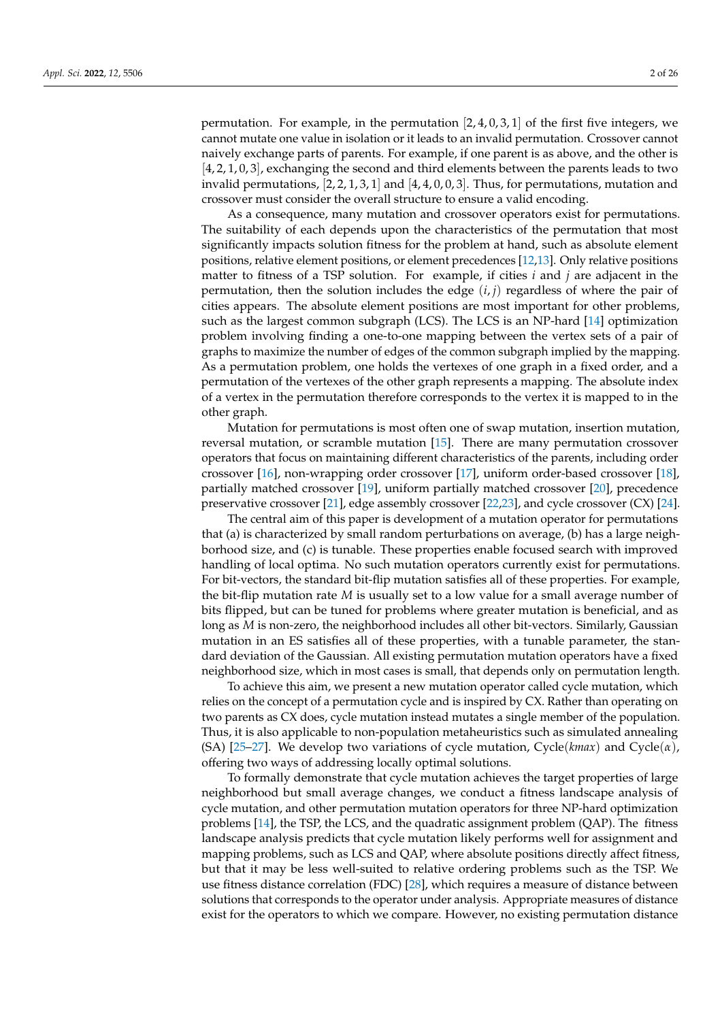permutation. For example, in the permutation  $[2, 4, 0, 3, 1]$  of the first five integers, we cannot mutate one value in isolation or it leads to an invalid permutation. Crossover cannot naively exchange parts of parents. For example, if one parent is as above, and the other is [4, 2, 1, 0, 3], exchanging the second and third elements between the parents leads to two invalid permutations,  $[2, 2, 1, 3, 1]$  and  $[4, 4, 0, 0, 3]$ . Thus, for permutations, mutation and crossover must consider the overall structure to ensure a valid encoding.

As a consequence, many mutation and crossover operators exist for permutations. The suitability of each depends upon the characteristics of the permutation that most significantly impacts solution fitness for the problem at hand, such as absolute element positions, relative element positions, or element precedences [\[12,](#page-23-2)[13\]](#page-23-3). Only relative positions matter to fitness of a TSP solution. For example, if cities *i* and *j* are adjacent in the permutation, then the solution includes the edge (*i*, *j*) regardless of where the pair of cities appears. The absolute element positions are most important for other problems, such as the largest common subgraph (LCS). The LCS is an NP-hard [\[14\]](#page-23-4) optimization problem involving finding a one-to-one mapping between the vertex sets of a pair of graphs to maximize the number of edges of the common subgraph implied by the mapping. As a permutation problem, one holds the vertexes of one graph in a fixed order, and a permutation of the vertexes of the other graph represents a mapping. The absolute index of a vertex in the permutation therefore corresponds to the vertex it is mapped to in the other graph.

Mutation for permutations is most often one of swap mutation, insertion mutation, reversal mutation, or scramble mutation [\[15\]](#page-23-5). There are many permutation crossover operators that focus on maintaining different characteristics of the parents, including order crossover [\[16\]](#page-23-6), non-wrapping order crossover [\[17\]](#page-23-7), uniform order-based crossover [\[18\]](#page-23-8), partially matched crossover [\[19\]](#page-23-9), uniform partially matched crossover [\[20\]](#page-23-10), precedence preservative crossover [\[21\]](#page-23-11), edge assembly crossover [\[22](#page-23-12)[,23\]](#page-23-13), and cycle crossover (CX) [\[24\]](#page-23-14).

The central aim of this paper is development of a mutation operator for permutations that (a) is characterized by small random perturbations on average, (b) has a large neighborhood size, and (c) is tunable. These properties enable focused search with improved handling of local optima. No such mutation operators currently exist for permutations. For bit-vectors, the standard bit-flip mutation satisfies all of these properties. For example, the bit-flip mutation rate *M* is usually set to a low value for a small average number of bits flipped, but can be tuned for problems where greater mutation is beneficial, and as long as *M* is non-zero, the neighborhood includes all other bit-vectors. Similarly, Gaussian mutation in an ES satisfies all of these properties, with a tunable parameter, the standard deviation of the Gaussian. All existing permutation mutation operators have a fixed neighborhood size, which in most cases is small, that depends only on permutation length.

To achieve this aim, we present a new mutation operator called cycle mutation, which relies on the concept of a permutation cycle and is inspired by CX. Rather than operating on two parents as CX does, cycle mutation instead mutates a single member of the population. Thus, it is also applicable to non-population metaheuristics such as simulated annealing (SA) [\[25–](#page-23-15)[27\]](#page-23-16). We develop two variations of cycle mutation, Cycle(*kmax*) and Cycle(*α*), offering two ways of addressing locally optimal solutions.

To formally demonstrate that cycle mutation achieves the target properties of large neighborhood but small average changes, we conduct a fitness landscape analysis of cycle mutation, and other permutation mutation operators for three NP-hard optimization problems [\[14\]](#page-23-4), the TSP, the LCS, and the quadratic assignment problem (QAP). The fitness landscape analysis predicts that cycle mutation likely performs well for assignment and mapping problems, such as LCS and QAP, where absolute positions directly affect fitness, but that it may be less well-suited to relative ordering problems such as the TSP. We use fitness distance correlation (FDC) [\[28\]](#page-23-17), which requires a measure of distance between solutions that corresponds to the operator under analysis. Appropriate measures of distance exist for the operators to which we compare. However, no existing permutation distance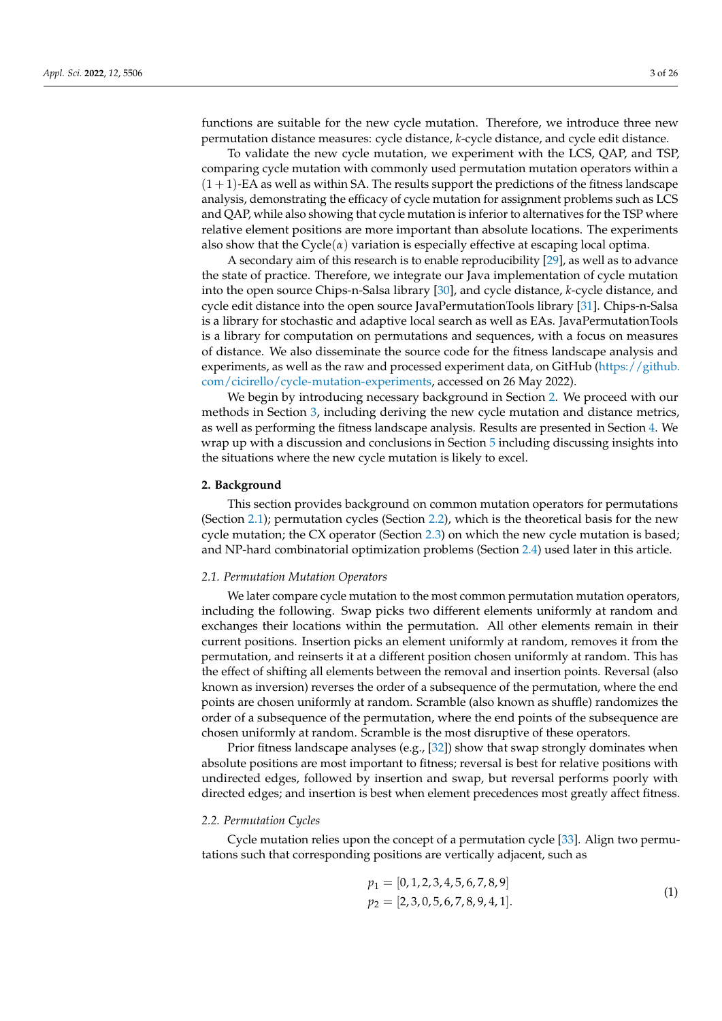functions are suitable for the new cycle mutation. Therefore, we introduce three new permutation distance measures: cycle distance, *k*-cycle distance, and cycle edit distance.

To validate the new cycle mutation, we experiment with the LCS, QAP, and TSP, comparing cycle mutation with commonly used permutation mutation operators within a  $(1 + 1)$ -EA as well as within SA. The results support the predictions of the fitness landscape analysis, demonstrating the efficacy of cycle mutation for assignment problems such as LCS and QAP, while also showing that cycle mutation is inferior to alternatives for the TSP where relative element positions are more important than absolute locations. The experiments also show that the  $Cycle(\alpha)$  variation is especially effective at escaping local optima.

A secondary aim of this research is to enable reproducibility [\[29\]](#page-23-18), as well as to advance the state of practice. Therefore, we integrate our Java implementation of cycle mutation into the open source Chips-n-Salsa library [\[30\]](#page-23-19), and cycle distance, *k*-cycle distance, and cycle edit distance into the open source JavaPermutationTools library [\[31\]](#page-23-20). Chips-n-Salsa is a library for stochastic and adaptive local search as well as EAs. JavaPermutationTools is a library for computation on permutations and sequences, with a focus on measures of distance. We also disseminate the source code for the fitness landscape analysis and experiments, as well as the raw and processed experiment data, on GitHub [\(https://github.](https://github.com/cicirello/cycle-mutation-experiments) [com/cicirello/cycle-mutation-experiments,](https://github.com/cicirello/cycle-mutation-experiments) accessed on 26 May 2022).

We begin by introducing necessary background in Section [2.](#page-2-0) We proceed with our methods in Section [3,](#page-5-0) including deriving the new cycle mutation and distance metrics, as well as performing the fitness landscape analysis. Results are presented in Section [4.](#page-17-0) We wrap up with a discussion and conclusions in Section [5](#page-21-0) including discussing insights into the situations where the new cycle mutation is likely to excel.

## <span id="page-2-0"></span>**2. Background**

This section provides background on common mutation operators for permutations (Section [2.1\)](#page-2-1); permutation cycles (Section [2.2\)](#page-2-2), which is the theoretical basis for the new cycle mutation; the CX operator (Section [2.3\)](#page-3-0) on which the new cycle mutation is based; and NP-hard combinatorial optimization problems (Section [2.4\)](#page-3-1) used later in this article.

## <span id="page-2-1"></span>*2.1. Permutation Mutation Operators*

We later compare cycle mutation to the most common permutation mutation operators, including the following. Swap picks two different elements uniformly at random and exchanges their locations within the permutation. All other elements remain in their current positions. Insertion picks an element uniformly at random, removes it from the permutation, and reinserts it at a different position chosen uniformly at random. This has the effect of shifting all elements between the removal and insertion points. Reversal (also known as inversion) reverses the order of a subsequence of the permutation, where the end points are chosen uniformly at random. Scramble (also known as shuffle) randomizes the order of a subsequence of the permutation, where the end points of the subsequence are chosen uniformly at random. Scramble is the most disruptive of these operators.

Prior fitness landscape analyses (e.g., [\[32\]](#page-23-21)) show that swap strongly dominates when absolute positions are most important to fitness; reversal is best for relative positions with undirected edges, followed by insertion and swap, but reversal performs poorly with directed edges; and insertion is best when element precedences most greatly affect fitness.

## <span id="page-2-2"></span>*2.2. Permutation Cycles*

Cycle mutation relies upon the concept of a permutation cycle [\[33\]](#page-23-22). Align two permutations such that corresponding positions are vertically adjacent, such as

<span id="page-2-3"></span>
$$
p_1 = [0, 1, 2, 3, 4, 5, 6, 7, 8, 9]
$$
  
\n
$$
p_2 = [2, 3, 0, 5, 6, 7, 8, 9, 4, 1].
$$
\n(1)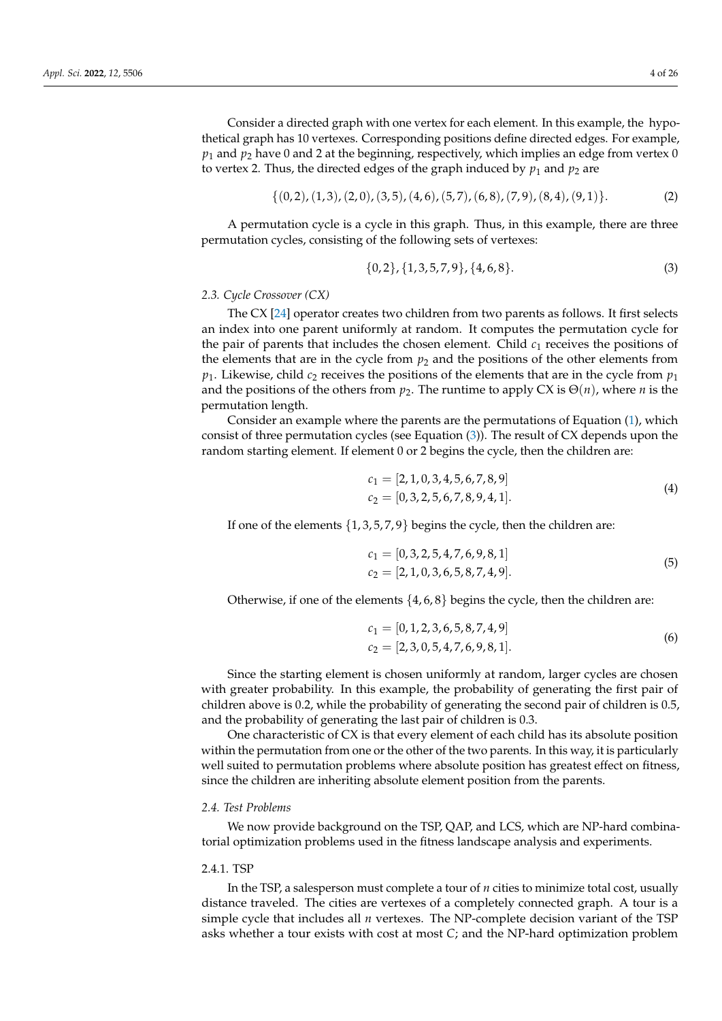Consider a directed graph with one vertex for each element. In this example, the hypothetical graph has 10 vertexes. Corresponding positions define directed edges. For example,  $p_1$  and  $p_2$  have 0 and 2 at the beginning, respectively, which implies an edge from vertex 0 to vertex 2. Thus, the directed edges of the graph induced by  $p_1$  and  $p_2$  are

$$
\{(0,2), (1,3), (2,0), (3,5), (4,6), (5,7), (6,8), (7,9), (8,4), (9,1)\}.
$$
 (2)

A permutation cycle is a cycle in this graph. Thus, in this example, there are three permutation cycles, consisting of the following sets of vertexes:

<span id="page-3-2"></span>
$$
\{0,2\}, \{1,3,5,7,9\}, \{4,6,8\}.\tag{3}
$$

## <span id="page-3-0"></span>*2.3. Cycle Crossover (CX)*

The CX [\[24\]](#page-23-14) operator creates two children from two parents as follows. It first selects an index into one parent uniformly at random. It computes the permutation cycle for the pair of parents that includes the chosen element. Child  $c<sub>1</sub>$  receives the positions of the elements that are in the cycle from  $p_2$  and the positions of the other elements from  $p_1$ . Likewise, child  $c_2$  receives the positions of the elements that are in the cycle from  $p_1$ and the positions of the others from  $p_2$ . The runtime to apply CX is  $\Theta(n)$ , where *n* is the permutation length.

Consider an example where the parents are the permutations of Equation [\(1\)](#page-2-3), which consist of three permutation cycles (see Equation [\(3\)](#page-3-2)). The result of CX depends upon the random starting element. If element 0 or 2 begins the cycle, then the children are:

$$
c_1 = [2, 1, 0, 3, 4, 5, 6, 7, 8, 9]
$$
  
\n
$$
c_2 = [0, 3, 2, 5, 6, 7, 8, 9, 4, 1].
$$
\n(4)

If one of the elements  $\{1, 3, 5, 7, 9\}$  begins the cycle, then the children are:

$$
c_1 = [0, 3, 2, 5, 4, 7, 6, 9, 8, 1]
$$
  
\n
$$
c_2 = [2, 1, 0, 3, 6, 5, 8, 7, 4, 9].
$$
\n(5)

Otherwise, if one of the elements  $\{4, 6, 8\}$  begins the cycle, then the children are:

$$
c_1 = [0, 1, 2, 3, 6, 5, 8, 7, 4, 9]
$$
  
\n
$$
c_2 = [2, 3, 0, 5, 4, 7, 6, 9, 8, 1].
$$
\n(6)

Since the starting element is chosen uniformly at random, larger cycles are chosen with greater probability. In this example, the probability of generating the first pair of children above is 0.2, while the probability of generating the second pair of children is 0.5, and the probability of generating the last pair of children is 0.3.

One characteristic of CX is that every element of each child has its absolute position within the permutation from one or the other of the two parents. In this way, it is particularly well suited to permutation problems where absolute position has greatest effect on fitness, since the children are inheriting absolute element position from the parents.

## <span id="page-3-1"></span>*2.4. Test Problems*

We now provide background on the TSP, QAP, and LCS, which are NP-hard combinatorial optimization problems used in the fitness landscape analysis and experiments.

## 2.4.1. TSP

In the TSP, a salesperson must complete a tour of *n* cities to minimize total cost, usually distance traveled. The cities are vertexes of a completely connected graph. A tour is a simple cycle that includes all *n* vertexes. The NP-complete decision variant of the TSP asks whether a tour exists with cost at most *C*; and the NP-hard optimization problem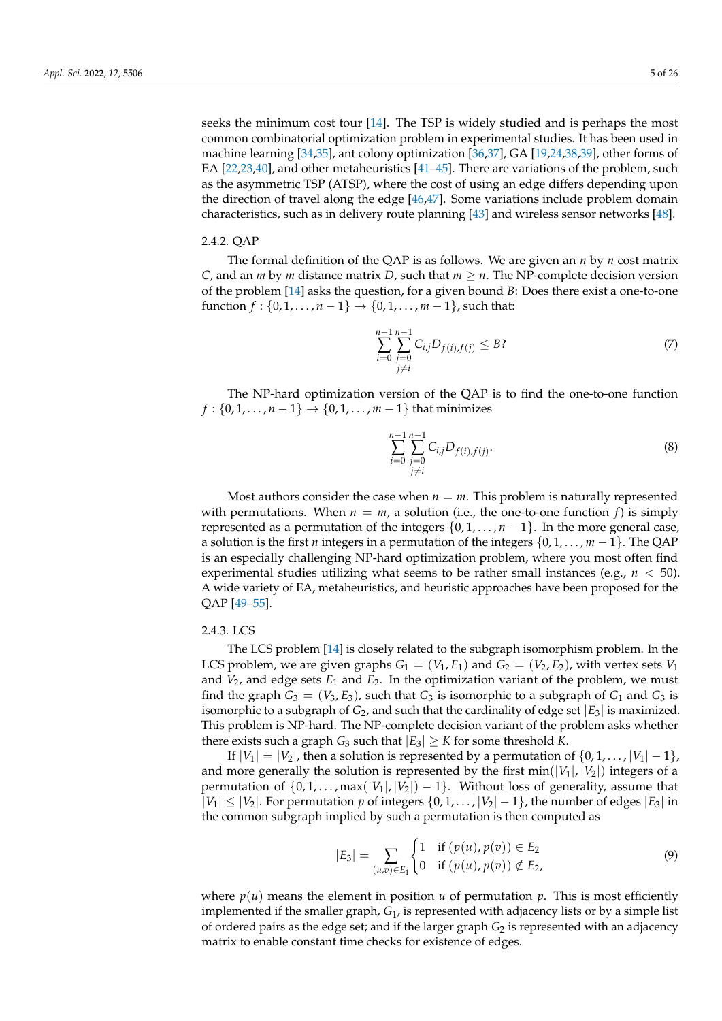seeks the minimum cost tour [\[14\]](#page-23-4). The TSP is widely studied and is perhaps the most common combinatorial optimization problem in experimental studies. It has been used in machine learning [\[34](#page-23-23)[,35\]](#page-23-24), ant colony optimization [\[36,](#page-24-0)[37\]](#page-24-1), GA [\[19](#page-23-9)[,24,](#page-23-14)[38,](#page-24-2)[39\]](#page-24-3), other forms of EA [\[22,](#page-23-12)[23,](#page-23-13)[40\]](#page-24-4), and other metaheuristics [\[41–](#page-24-5)[45\]](#page-24-6). There are variations of the problem, such as the asymmetric TSP (ATSP), where the cost of using an edge differs depending upon the direction of travel along the edge [\[46,](#page-24-7)[47\]](#page-24-8). Some variations include problem domain characteristics, such as in delivery route planning [\[43\]](#page-24-9) and wireless sensor networks [\[48\]](#page-24-10).

## 2.4.2. QAP

The formal definition of the QAP is as follows. We are given an *n* by *n* cost matrix *C*, and an *m* by *m* distance matrix *D*, such that  $m \geq n$ . The NP-complete decision version of the problem [\[14\]](#page-23-4) asks the question, for a given bound *B*: Does there exist a one-to-one function  $f : \{0, 1, ..., n-1\} \to \{0, 1, ..., m-1\}$ , such that:

$$
\sum_{i=0}^{n-1} \sum_{\substack{j=0 \ j \neq i}}^{n-1} C_{i,j} D_{f(i),f(j)} \leq B
$$
 (7)

The NP-hard optimization version of the QAP is to find the one-to-one function  $f: \{0, 1, \ldots, n-1\} \to \{0, 1, \ldots, m-1\}$  that minimizes

$$
\sum_{i=0}^{n-1} \sum_{\substack{j=0 \ j \neq i}}^{n-1} C_{i,j} D_{f(i),f(j)}.
$$
\n(8)

Most authors consider the case when  $n = m$ . This problem is naturally represented with permutations. When  $n = m$ , a solution (i.e., the one-to-one function  $f$ ) is simply represented as a permutation of the integers  $\{0, 1, \ldots, n-1\}$ . In the more general case, a solution is the first *n* integers in a permutation of the integers {0, 1, . . . , *m* − 1}. The QAP is an especially challenging NP-hard optimization problem, where you most often find experimental studies utilizing what seems to be rather small instances (e.g.,  $n < 50$ ). A wide variety of EA, metaheuristics, and heuristic approaches have been proposed for the QAP [\[49–](#page-24-11)[55\]](#page-24-12).

# 2.4.3. LCS

The LCS problem [\[14\]](#page-23-4) is closely related to the subgraph isomorphism problem. In the LCS problem, we are given graphs  $G_1 = (V_1, E_1)$  and  $G_2 = (V_2, E_2)$ , with vertex sets  $V_1$ and  $V_2$ , and edge sets  $E_1$  and  $E_2$ . In the optimization variant of the problem, we must find the graph  $G_3 = (V_3, E_3)$ , such that  $G_3$  is isomorphic to a subgraph of  $G_1$  and  $G_3$  is isomorphic to a subgraph of  $G_2$ , and such that the cardinality of edge set  $|E_3|$  is maximized. This problem is NP-hard. The NP-complete decision variant of the problem asks whether there exists such a graph  $G_3$  such that  $|E_3| \geq K$  for some threshold K.

If  $|V_1| = |V_2|$ , then a solution is represented by a permutation of  $\{0, 1, \ldots, |V_1| - 1\}$ , and more generally the solution is represented by the first  $min(|V_1|, |V_2|)$  integers of a permutation of  $\{0, 1, \ldots, \max(|V_1|, |V_2|) - 1\}$ . Without loss of generality, assume that  $|V_1|$  ≤  $|V_2|$ . For permutation *p* of integers  $\{0, 1, \ldots, |V_2| - 1\}$ , the number of edges  $|E_3|$  in the common subgraph implied by such a permutation is then computed as

$$
|E_3| = \sum_{(u,v)\in E_1} \begin{cases} 1 & \text{if } (p(u), p(v)) \in E_2 \\ 0 & \text{if } (p(u), p(v)) \notin E_2, \end{cases}
$$
(9)

where  $p(u)$  means the element in position *u* of permutation *p*. This is most efficiently implemented if the smaller graph, *G*1, is represented with adjacency lists or by a simple list of ordered pairs as the edge set; and if the larger graph *G*<sup>2</sup> is represented with an adjacency matrix to enable constant time checks for existence of edges.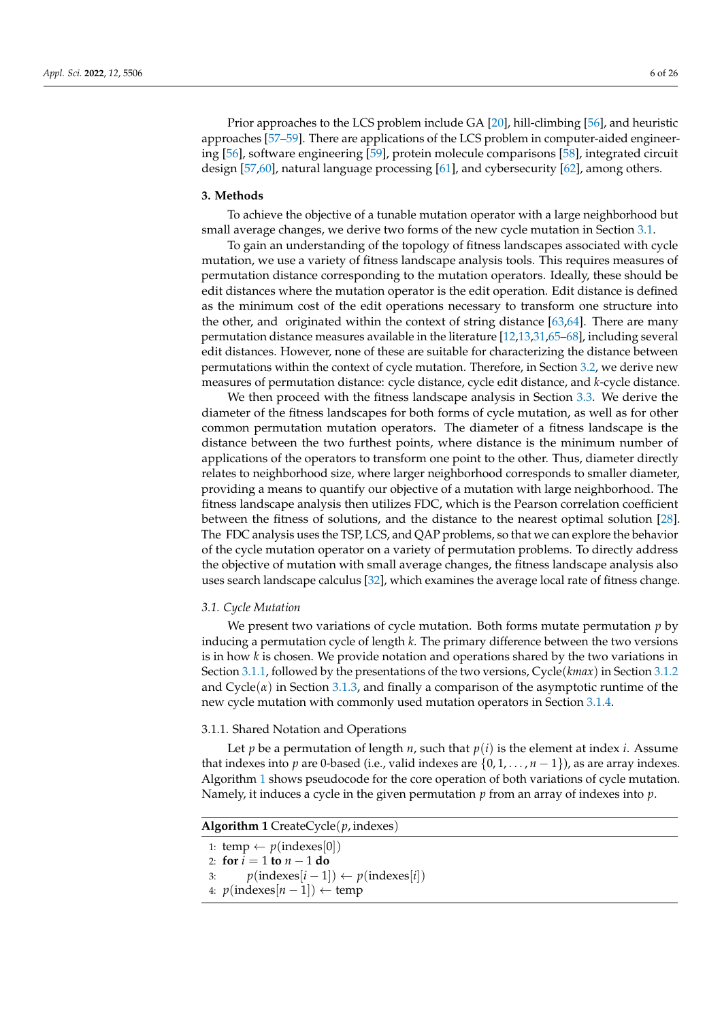Prior approaches to the LCS problem include GA [\[20\]](#page-23-10), hill-climbing [\[56\]](#page-24-13), and heuristic approaches [\[57](#page-24-14)[–59\]](#page-25-0). There are applications of the LCS problem in computer-aided engineering [\[56\]](#page-24-13), software engineering [\[59\]](#page-25-0), protein molecule comparisons [\[58\]](#page-25-1), integrated circuit design [\[57](#page-24-14)[,60\]](#page-25-2), natural language processing [\[61\]](#page-25-3), and cybersecurity [\[62\]](#page-25-4), among others.

## <span id="page-5-0"></span>**3. Methods**

To achieve the objective of a tunable mutation operator with a large neighborhood but small average changes, we derive two forms of the new cycle mutation in Section [3.1.](#page-5-1)

To gain an understanding of the topology of fitness landscapes associated with cycle mutation, we use a variety of fitness landscape analysis tools. This requires measures of permutation distance corresponding to the mutation operators. Ideally, these should be edit distances where the mutation operator is the edit operation. Edit distance is defined as the minimum cost of the edit operations necessary to transform one structure into the other, and originated within the context of string distance [\[63](#page-25-5)[,64\]](#page-25-6). There are many permutation distance measures available in the literature [\[12,](#page-23-2)[13,](#page-23-3)[31](#page-23-20)[,65](#page-25-7)[–68\]](#page-25-8), including several edit distances. However, none of these are suitable for characterizing the distance between permutations within the context of cycle mutation. Therefore, in Section [3.2,](#page-9-0) we derive new measures of permutation distance: cycle distance, cycle edit distance, and *k*-cycle distance.

We then proceed with the fitness landscape analysis in Section [3.3.](#page-12-0) We derive the diameter of the fitness landscapes for both forms of cycle mutation, as well as for other common permutation mutation operators. The diameter of a fitness landscape is the distance between the two furthest points, where distance is the minimum number of applications of the operators to transform one point to the other. Thus, diameter directly relates to neighborhood size, where larger neighborhood corresponds to smaller diameter, providing a means to quantify our objective of a mutation with large neighborhood. The fitness landscape analysis then utilizes FDC, which is the Pearson correlation coefficient between the fitness of solutions, and the distance to the nearest optimal solution [\[28\]](#page-23-17). The FDC analysis uses the TSP, LCS, and QAP problems, so that we can explore the behavior of the cycle mutation operator on a variety of permutation problems. To directly address the objective of mutation with small average changes, the fitness landscape analysis also uses search landscape calculus [\[32\]](#page-23-21), which examines the average local rate of fitness change.

## <span id="page-5-1"></span>*3.1. Cycle Mutation*

We present two variations of cycle mutation. Both forms mutate permutation *p* by inducing a permutation cycle of length *k*. The primary difference between the two versions is in how *k* is chosen. We provide notation and operations shared by the two variations in Section [3.1.1,](#page-5-2) followed by the presentations of the two versions, Cycle(*kmax*) in Section [3.1.2](#page-7-0) and  $Cycle(\alpha)$  in Section [3.1.3,](#page-7-1) and finally a comparison of the asymptotic runtime of the new cycle mutation with commonly used mutation operators in Section [3.1.4.](#page-9-1)

## <span id="page-5-2"></span>3.1.1. Shared Notation and Operations

Let *p* be a permutation of length *n*, such that  $p(i)$  is the element at index *i*. Assume that indexes into *p* are 0-based (i.e., valid indexes are  $\{0, 1, \ldots, n-1\}$ ), as are array indexes. Algorithm [1](#page-5-3) shows pseudocode for the core operation of both variations of cycle mutation. Namely, it induces a cycle in the given permutation *p* from an array of indexes into *p*.

## **Algorithm 1** CreateCycle(*p*, indexes)

```
1: temp \leftarrow p(\text{indexes}|0|)
```

```
2: for i = 1 to n - 1 do
```
3:  $p(\text{indexes}[i-1]) \leftarrow p(\text{indexes}[i])$ 

```
4: p(indexes[n-1]) \leftarrow temp
```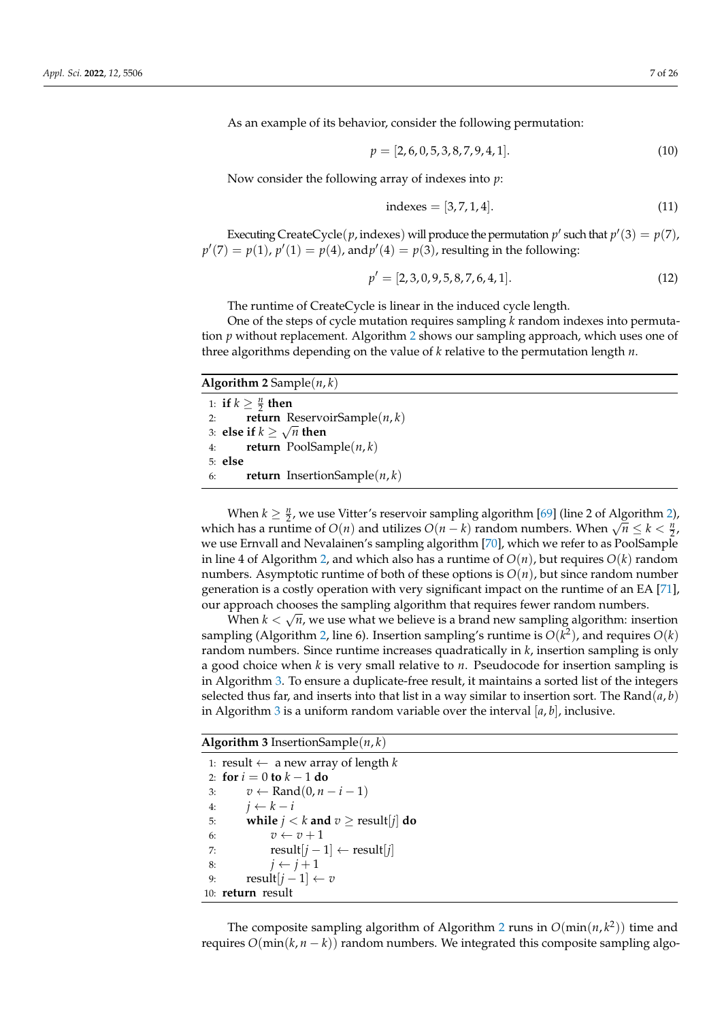As an example of its behavior, consider the following permutation:

$$
p = [2, 6, 0, 5, 3, 8, 7, 9, 4, 1]. \tag{10}
$$

Now consider the following array of indexes into *p*:

$$
indexes = [3, 7, 1, 4]. \t(11)
$$

Executing CreateCycle(*p*, indexes) will produce the permutation *p*' such that  $p'(3) = p(7)$ ,  $p'(7) = p(1)$ ,  $p'(1) = p(4)$ , and  $p'(4) = p(3)$ , resulting in the following:

$$
p' = [2, 3, 0, 9, 5, 8, 7, 6, 4, 1].
$$
\n(12)

The runtime of CreateCycle is linear in the induced cycle length.

One of the steps of cycle mutation requires sampling *k* random indexes into permutation *p* without replacement. Algorithm [2](#page-6-0) shows our sampling approach, which uses one of three algorithms depending on the value of *k* relative to the permutation length *n*.

| <b>Algorithm 2</b> Sample $(n, k)$ |                                               |  |
|------------------------------------|-----------------------------------------------|--|
|                                    | 1: if $k \geq \frac{n}{2}$ then               |  |
|                                    | <b>return</b> ReservoirSample( $n, k$ )<br>2: |  |
|                                    | 3: else if $k \geq \sqrt{n}$ then             |  |
|                                    | <b>return</b> PoolSample $(n, k)$<br>4:       |  |
|                                    | $5:$ else                                     |  |
| 6:                                 | <b>return</b> InsertionSample( $n, k$ )       |  |

<span id="page-6-0"></span>When  $k \geq \frac{n}{2}$ , we use Vitter's reservoir sampling algorithm [\[69\]](#page-25-9) (line 2 of Algorithm [2\)](#page-6-0), which has a runtime of *O*(*n*) and utilizes *O*(*n* − *k*) random numbers. When  $\sqrt{n} \le k < \frac{n}{2}$ , which has a runtime of *O*(*n*) and utilizes *O*(*n* − *k*) random numbers. When  $\sqrt{n} \le k < \frac{n}{2}$ , we use Ernvall and Nevalainen's sampling algorithm [\[70\]](#page-25-10), which we refer to as PoolSample in line 4 of Algorithm [2,](#page-6-0) and which also has a runtime of  $O(n)$ , but requires  $O(k)$  random numbers. Asymptotic runtime of both of these options is *O*(*n*), but since random number generation is a costly operation with very significant impact on the runtime of an EA [\[71\]](#page-25-11), our approach chooses the sampling algorithm that requires fewer random numbers.

When  $k < \sqrt{n}$ , we use what we believe is a brand new sampling algorithm: insertion sampling (Algorithm [2,](#page-6-0) line 6). Insertion sampling's runtime is  $O(k^2)$ , and requires  $O(k)$ random numbers. Since runtime increases quadratically in *k*, insertion sampling is only a good choice when *k* is very small relative to *n*. Pseudocode for insertion sampling is in Algorithm [3.](#page-6-1) To ensure a duplicate-free result, it maintains a sorted list of the integers selected thus far, and inserts into that list in a way similar to insertion sort. The Rand( $a$ ,  $b$ ) in Algorithm [3](#page-6-1) is a uniform random variable over the interval [*a*, *b*], inclusive.

**Algorithm 3** InsertionSample(*n*, *k*)

1: result  $\leftarrow$  a new array of length *k* 2: **for**  $i = 0$  **to**  $k - 1$  **do** 3:  $v \leftarrow \text{Rand}(0, n-i-1)$ 4: *j* ← *k* − *i* 5: **while**  $j < k$  **and**  $v \ge \text{result}[j]$  **do** 6:  $v \leftarrow v + 1$ 7: result $[j-1] \leftarrow \text{result}[j]$ 8:  $j \leftarrow j+1$ 9: result $[j-1] \leftarrow v$ 10: **return** result

<span id="page-6-1"></span>The composite sampling algorithm of Algorithm [2](#page-6-0) runs in  $O(\min(n, k^2))$  time and requires  $O(\min(k, n - k))$  random numbers. We integrated this composite sampling algo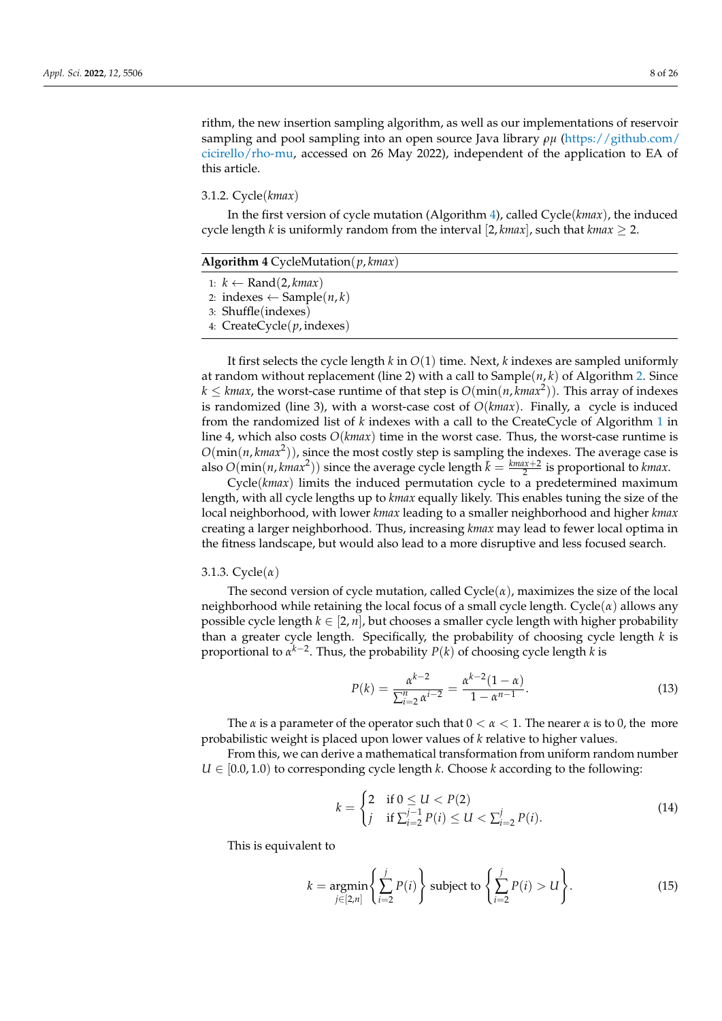rithm, the new insertion sampling algorithm, as well as our implementations of reservoir sampling and pool sampling into an open source Java library *ρµ* [\(https://github.com/](https://github.com/cicirello/rho-mu) [cicirello/rho-mu,](https://github.com/cicirello/rho-mu) accessed on 26 May 2022), independent of the application to EA of this article.

<span id="page-7-0"></span>3.1.2. Cycle(*kmax*)

In the first version of cycle mutation (Algorithm [4\)](#page-7-2), called Cycle(*kmax*), the induced cycle length *k* is uniformly random from the interval [2, *kmax*], such that *kmax*  $\geq$  2.

| <b>Algorithm 4</b> CycleMutation( $p, kmax$ ) |  |
|-----------------------------------------------|--|
| 1: $k \leftarrow \text{Rand}(2, kmax)$        |  |
| 2: indexes ← Sample( <i>n</i> , <i>k</i> )    |  |
| 3: Shuffle(indexes)                           |  |
| 4: $CreateCycle(p, indexes)$                  |  |

<span id="page-7-2"></span>It first selects the cycle length *k* in *O*(1) time. Next, *k* indexes are sampled uniformly at random without replacement (line 2) with a call to Sample(*n*, *k*) of Algorithm [2.](#page-6-0) Since  $k \leq k$ *max*, the worst-case runtime of that step is  $O(\min(n, k \max^2))$ . This array of indexes is randomized (line 3), with a worst-case cost of *O*(*kmax*). Finally, a cycle is induced from the randomized list of *k* indexes with a call to the CreateCycle of Algorithm [1](#page-5-3) in line 4, which also costs *O*(*kmax*) time in the worst case. Thus, the worst-case runtime is  $O(\min(n, kmax^2))$ , since the most costly step is sampling the indexes. The average case is also  $O(\min(n, kmax^2))$  since the average cycle length  $\bar{k} = \frac{kmax+2}{2}$  is proportional to *kmax*.

Cycle(*kmax*) limits the induced permutation cycle to a predetermined maximum length, with all cycle lengths up to *kmax* equally likely. This enables tuning the size of the local neighborhood, with lower *kmax* leading to a smaller neighborhood and higher *kmax* creating a larger neighborhood. Thus, increasing *kmax* may lead to fewer local optima in the fitness landscape, but would also lead to a more disruptive and less focused search.

## <span id="page-7-1"></span>3.1.3. Cycle(*α*)

The second version of cycle mutation, called  $Cycle(\alpha)$ , maximizes the size of the local neighborhood while retaining the local focus of a small cycle length. Cycle(*α*) allows any possible cycle length  $k \in [2, n]$ , but chooses a smaller cycle length with higher probability than a greater cycle length. Specifically, the probability of choosing cycle length *k* is proportional to *α k*−2 . Thus, the probability *P*(*k*) of choosing cycle length *k* is

<span id="page-7-3"></span>
$$
P(k) = \frac{\alpha^{k-2}}{\sum_{i=2}^{n} \alpha^{i-2}} = \frac{\alpha^{k-2} (1 - \alpha)}{1 - \alpha^{n-1}}.
$$
\n(13)

The  $\alpha$  is a parameter of the operator such that  $0 < \alpha < 1$ . The nearer  $\alpha$  is to 0, the more probabilistic weight is placed upon lower values of *k* relative to higher values.

From this, we can derive a mathematical transformation from uniform random number  $U \in [0.0, 1.0]$  to corresponding cycle length *k*. Choose *k* according to the following:

$$
k = \begin{cases} 2 & \text{if } 0 \le U < P(2) \\ j & \text{if } \sum_{i=2}^{j-1} P(i) \le U < \sum_{i=2}^{j} P(i). \end{cases} \tag{14}
$$

This is equivalent to

$$
k = \underset{j \in [2,n]}{\operatorname{argmin}} \left\{ \sum_{i=2}^{j} P(i) \right\} \text{ subject to } \left\{ \sum_{i=2}^{j} P(i) > U \right\}. \tag{15}
$$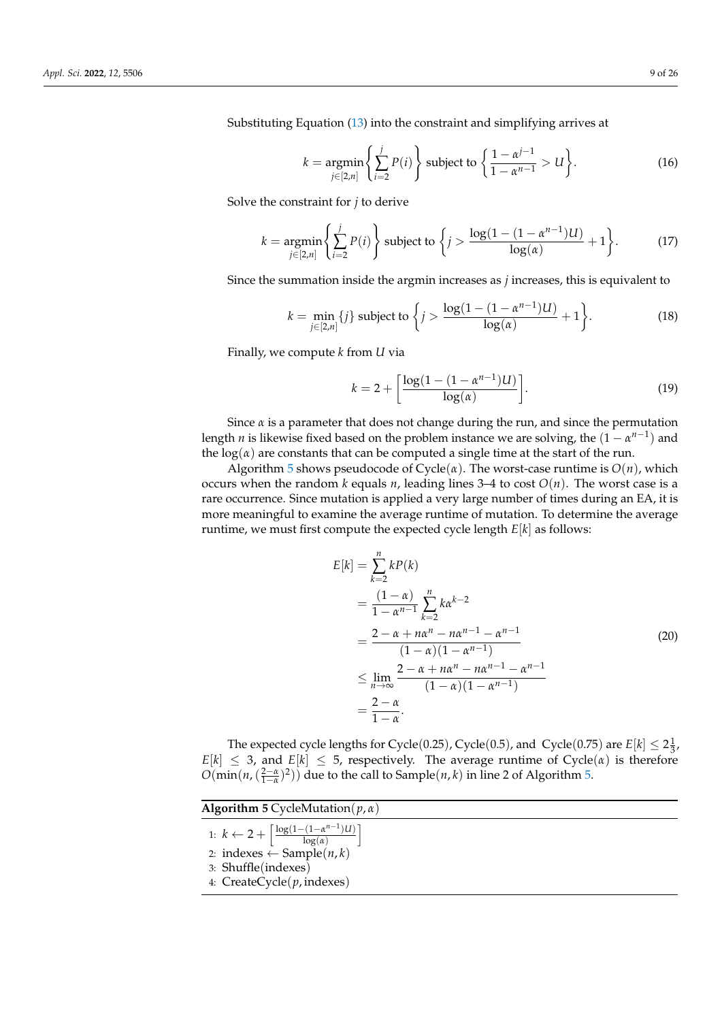Substituting Equation [\(13\)](#page-7-3) into the constraint and simplifying arrives at

$$
k = \underset{j \in [2,n]}{\operatorname{argmin}} \left\{ \sum_{i=2}^{j} P(i) \right\} \text{ subject to } \left\{ \frac{1 - \alpha^{j-1}}{1 - \alpha^{n-1}} > U \right\}. \tag{16}
$$

Solve the constraint for *j* to derive

$$
k = \underset{j \in [2,n]}{\operatorname{argmin}} \left\{ \sum_{i=2}^{j} P(i) \right\} \text{ subject to } \left\{ j > \frac{\log(1 - (1 - \alpha^{n-1})U)}{\log(\alpha)} + 1 \right\}. \tag{17}
$$

Since the summation inside the argmin increases as *j* increases, this is equivalent to

$$
k = \min_{j \in [2,n]} \{j\} \text{ subject to } \left\{ j > \frac{\log(1 - (1 - \alpha^{n-1})U)}{\log(\alpha)} + 1 \right\}.
$$
 (18)

Finally, we compute *k* from *U* via

$$
k = 2 + \left[\frac{\log(1 - (1 - \alpha^{n-1})U)}{\log(\alpha)}\right].
$$
 (19)

Since  $\alpha$  is a parameter that does not change during the run, and since the permutation length *n* is likewise fixed based on the problem instance we are solving, the  $(1 - \alpha^{n-1})$  and the  $log(*a*)$  are constants that can be computed a single time at the start of the run.

Algorithm [5](#page-8-0) shows pseudocode of  $Cycle(\alpha)$ . The worst-case runtime is  $O(n)$ , which occurs when the random  $k$  equals  $n$ , leading lines 3–4 to cost  $O(n)$ . The worst case is a rare occurrence. Since mutation is applied a very large number of times during an EA, it is more meaningful to examine the average runtime of mutation. To determine the average runtime, we must first compute the expected cycle length *E*[*k*] as follows:

$$
E[k] = \sum_{k=2}^{n} kP(k)
$$
  
=  $\frac{(1 - \alpha)}{1 - \alpha^{n-1}} \sum_{k=2}^{n} k\alpha^{k-2}$   
=  $\frac{2 - \alpha + n\alpha^{n} - n\alpha^{n-1} - \alpha^{n-1}}{(1 - \alpha)(1 - \alpha^{n-1})}$   
 $\leq \lim_{n \to \infty} \frac{2 - \alpha + n\alpha^{n} - n\alpha^{n-1} - \alpha^{n-1}}{(1 - \alpha)(1 - \alpha^{n-1})}$   
=  $\frac{2 - \alpha}{1 - \alpha}$ . (20)

The expected cycle lengths for Cycle(0.25), Cycle(0.5), and Cycle(0.75) are  $E[k] \leq 2\frac{1}{3}$ ,  $E[k] \leq 3$ , and  $E[k] \leq 5$ , respectively. The average runtime of Cycle( $\alpha$ ) is therefore  $O(\min(n,(\frac{2-\alpha}{1-\alpha})^2))$  due to the call to Sample(*n*, *k*) in line 2 of Algorithm [5.](#page-8-0)

<span id="page-8-0"></span>

| <b>Algorithm 5</b> CycleMutation( $p, \alpha$ )                                                                                    |  |
|------------------------------------------------------------------------------------------------------------------------------------|--|
| 1: $k \leftarrow 2 + \left\lceil \frac{\log(1 - (1 - \alpha^{n-1})U)}{\log(\alpha)} \right\rceil$<br>2: indexes ← Sample( $n, k$ ) |  |
| 3: Shuffle(indexes)                                                                                                                |  |
| 4: $CreateCycle(p, indexes)$                                                                                                       |  |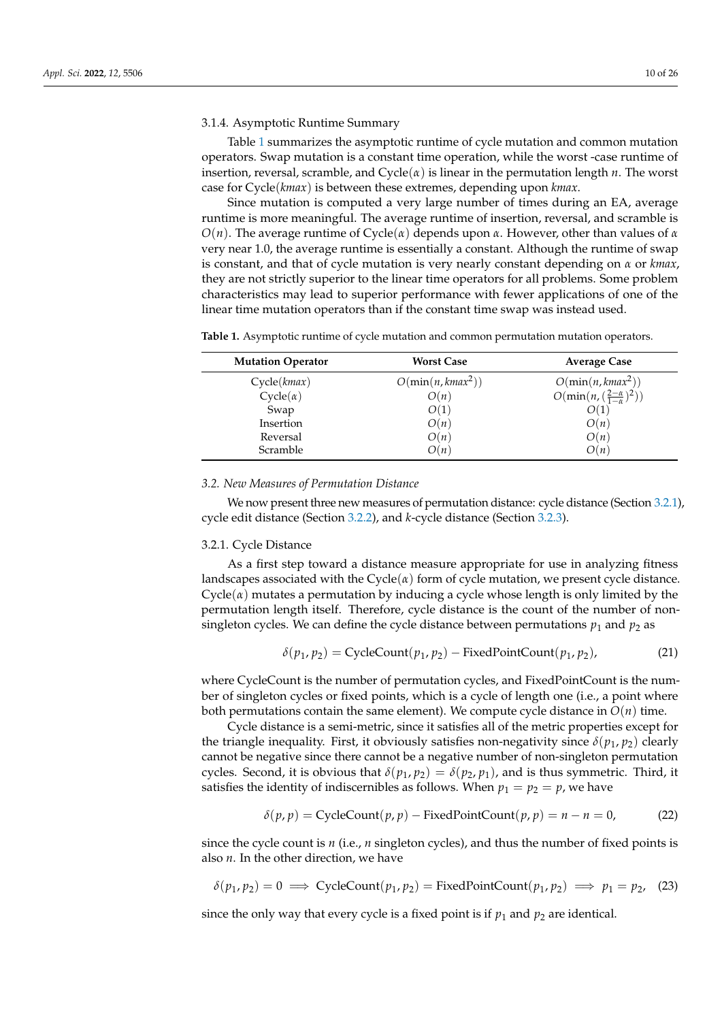## <span id="page-9-1"></span>3.1.4. Asymptotic Runtime Summary

Table [1](#page-9-2) summarizes the asymptotic runtime of cycle mutation and common mutation operators. Swap mutation is a constant time operation, while the worst -case runtime of insertion, reversal, scramble, and Cycle(*α*) is linear in the permutation length *n*. The worst case for Cycle(*kmax*) is between these extremes, depending upon *kmax*.

Since mutation is computed a very large number of times during an EA, average runtime is more meaningful. The average runtime of insertion, reversal, and scramble is *O*(*n*). The average runtime of Cycle(*α*) depends upon *α*. However, other than values of *α* very near 1.0, the average runtime is essentially a constant. Although the runtime of swap is constant, and that of cycle mutation is very nearly constant depending on *α* or *kmax*, they are not strictly superior to the linear time operators for all problems. Some problem characteristics may lead to superior performance with fewer applications of one of the linear time mutation operators than if the constant time swap was instead used.

<span id="page-9-2"></span>**Table 1.** Asymptotic runtime of cycle mutation and common permutation mutation operators.

| <b>Mutation Operator</b> | <b>Worst Case</b>    | <b>Average Case</b>                         |
|--------------------------|----------------------|---------------------------------------------|
| Cycle(kmax)              | $O(\min(n, kmax^2))$ | $O(\min(n, kmax^2))$                        |
| $Cycle(\alpha)$          | O(n)                 | $O(\min(n, (\frac{2-\alpha}{1-\alpha})^2))$ |
| Swap                     | O(1)                 | O(1)                                        |
| Insertion                | O(n)                 | O(n)                                        |
| Reversal                 | O(n)                 | O(n)                                        |
| Scramble                 | O(n)                 | O(n)                                        |

#### <span id="page-9-0"></span>*3.2. New Measures of Permutation Distance*

We now present three new measures of permutation distance: cycle distance (Section [3.2.1\)](#page-9-3), cycle edit distance (Section [3.2.2\)](#page-10-0), and *k*-cycle distance (Section [3.2.3\)](#page-11-0).

## <span id="page-9-3"></span>3.2.1. Cycle Distance

As a first step toward a distance measure appropriate for use in analyzing fitness landscapes associated with the  $Cycle(\alpha)$  form of cycle mutation, we present cycle distance.  $Cycle(\alpha)$  mutates a permutation by inducing a cycle whose length is only limited by the permutation length itself. Therefore, cycle distance is the count of the number of nonsingleton cycles. We can define the cycle distance between permutations  $p_1$  and  $p_2$  as

<span id="page-9-4"></span>
$$
\delta(p_1, p_2) = \text{CycleCount}(p_1, p_2) - \text{FixedPointCount}(p_1, p_2),\tag{21}
$$

where CycleCount is the number of permutation cycles, and FixedPointCount is the number of singleton cycles or fixed points, which is a cycle of length one (i.e., a point where both permutations contain the same element). We compute cycle distance in  $O(n)$  time.

Cycle distance is a semi-metric, since it satisfies all of the metric properties except for the triangle inequality. First, it obviously satisfies non-negativity since  $\delta(p_1, p_2)$  clearly cannot be negative since there cannot be a negative number of non-singleton permutation cycles. Second, it is obvious that  $\delta(p_1, p_2) = \delta(p_2, p_1)$ , and is thus symmetric. Third, it satisfies the identity of indiscernibles as follows. When  $p_1 = p_2 = p$ , we have

$$
\delta(p, p) = \text{CycleCount}(p, p) - \text{FixedPointCount}(p, p) = n - n = 0,
$$
 (22)

since the cycle count is *n* (i.e., *n* singleton cycles), and thus the number of fixed points is also *n*. In the other direction, we have

$$
\delta(p_1, p_2) = 0 \implies \text{CycleCount}(p_1, p_2) = \text{FixedPointCount}(p_1, p_2) \implies p_1 = p_2, \quad (23)
$$

since the only way that every cycle is a fixed point is if  $p_1$  and  $p_2$  are identical.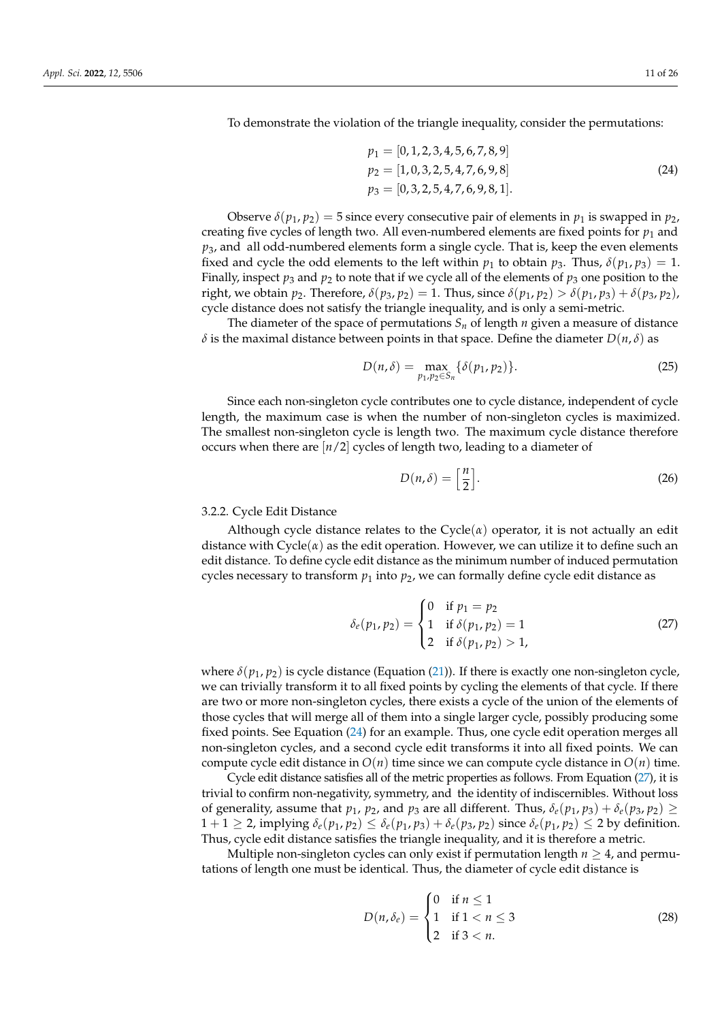To demonstrate the violation of the triangle inequality, consider the permutations:

<span id="page-10-1"></span>
$$
p_1 = [0, 1, 2, 3, 4, 5, 6, 7, 8, 9]
$$
  
\n
$$
p_2 = [1, 0, 3, 2, 5, 4, 7, 6, 9, 8]
$$
  
\n
$$
p_3 = [0, 3, 2, 5, 4, 7, 6, 9, 8, 1].
$$
\n(24)

Observe  $\delta(p_1, p_2) = 5$  since every consecutive pair of elements in  $p_1$  is swapped in  $p_2$ , creating five cycles of length two. All even-numbered elements are fixed points for  $p_1$  and  $p_3$ , and all odd-numbered elements form a single cycle. That is, keep the even elements fixed and cycle the odd elements to the left within  $p_1$  to obtain  $p_3$ . Thus,  $\delta(p_1, p_3) = 1$ . Finally, inspect  $p_3$  and  $p_2$  to note that if we cycle all of the elements of  $p_3$  one position to the right, we obtain  $p_2$ . Therefore,  $\delta(p_3, p_2) = 1$ . Thus, since  $\delta(p_1, p_2) > \delta(p_1, p_3) + \delta(p_3, p_2)$ , cycle distance does not satisfy the triangle inequality, and is only a semi-metric.

The diameter of the space of permutations  $S_n$  of length  $n$  given a measure of distance *δ* is the maximal distance between points in that space. Define the diameter *D*(*n*, *δ*) as

$$
D(n,\delta) = \max_{p_1, p_2 \in S_n} \{\delta(p_1, p_2)\}.
$$
 (25)

Since each non-singleton cycle contributes one to cycle distance, independent of cycle length, the maximum case is when the number of non-singleton cycles is maximized. The smallest non-singleton cycle is length two. The maximum cycle distance therefore occurs when there are [*n*/2] cycles of length two, leading to a diameter of

$$
D(n,\delta) = \left[\frac{n}{2}\right].\tag{26}
$$

## <span id="page-10-0"></span>3.2.2. Cycle Edit Distance

Although cycle distance relates to the  $Cycle(\alpha)$  operator, it is not actually an edit distance with  $\text{Cycle}(\alpha)$  as the edit operation. However, we can utilize it to define such an edit distance. To define cycle edit distance as the minimum number of induced permutation cycles necessary to transform  $p_1$  into  $p_2$ , we can formally define cycle edit distance as

<span id="page-10-2"></span>
$$
\delta_e(p_1, p_2) = \begin{cases}\n0 & \text{if } p_1 = p_2 \\
1 & \text{if } \delta(p_1, p_2) = 1 \\
2 & \text{if } \delta(p_1, p_2) > 1,\n\end{cases}
$$
\n(27)

where  $\delta(p_1, p_2)$  is cycle distance (Equation [\(21\)](#page-9-4)). If there is exactly one non-singleton cycle, we can trivially transform it to all fixed points by cycling the elements of that cycle. If there are two or more non-singleton cycles, there exists a cycle of the union of the elements of those cycles that will merge all of them into a single larger cycle, possibly producing some fixed points. See Equation [\(24\)](#page-10-1) for an example. Thus, one cycle edit operation merges all non-singleton cycles, and a second cycle edit transforms it into all fixed points. We can compute cycle edit distance in  $O(n)$  time since we can compute cycle distance in  $O(n)$  time.

Cycle edit distance satisfies all of the metric properties as follows. From Equation [\(27\)](#page-10-2), it is trivial to confirm non-negativity, symmetry, and the identity of indiscernibles. Without loss of generality, assume that  $p_1$ ,  $p_2$ , and  $p_3$  are all different. Thus,  $\delta_e(p_1, p_3) + \delta_e(p_3, p_2) \geq$  $1+1 \geq 2$ , implying  $\delta_e(p_1, p_2) \leq \delta_e(p_1, p_3) + \delta_e(p_3, p_2)$  since  $\delta_e(p_1, p_2) \leq 2$  by definition. Thus, cycle edit distance satisfies the triangle inequality, and it is therefore a metric.

Multiple non-singleton cycles can only exist if permutation length  $n \geq 4$ , and permutations of length one must be identical. Thus, the diameter of cycle edit distance is

$$
D(n, \delta_e) = \begin{cases} 0 & \text{if } n \le 1 \\ 1 & \text{if } 1 < n \le 3 \\ 2 & \text{if } 3 < n. \end{cases}
$$
 (28)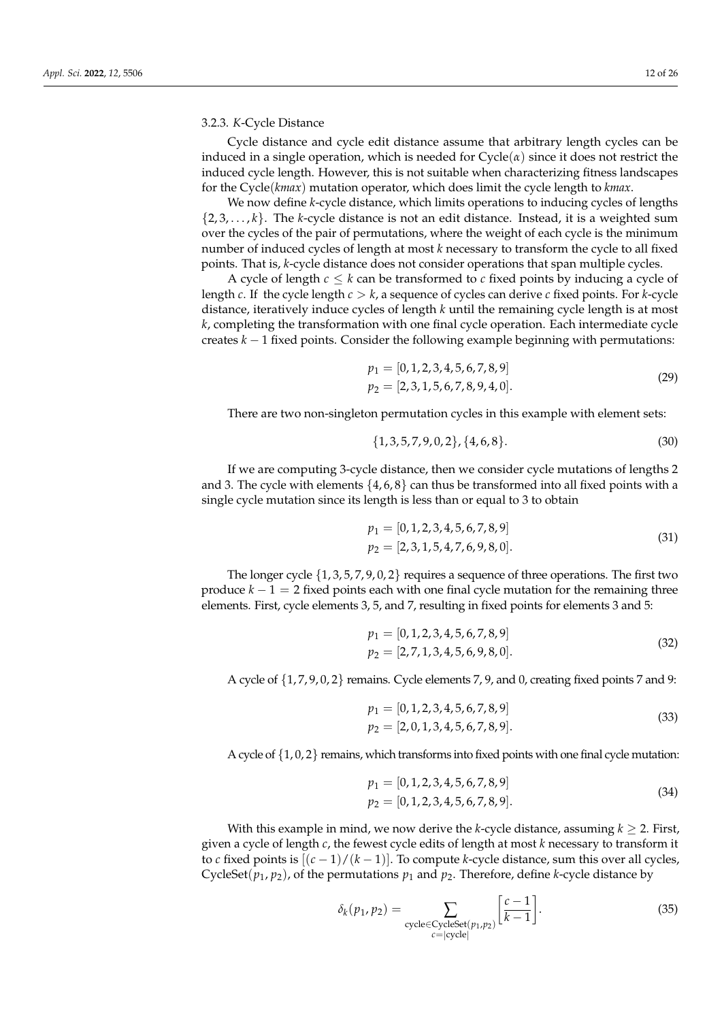## <span id="page-11-0"></span>3.2.3. *K*-Cycle Distance

Cycle distance and cycle edit distance assume that arbitrary length cycles can be induced in a single operation, which is needed for  $Cycle(\alpha)$  since it does not restrict the induced cycle length. However, this is not suitable when characterizing fitness landscapes for the Cycle(*kmax*) mutation operator, which does limit the cycle length to *kmax*.

We now define *k*-cycle distance, which limits operations to inducing cycles of lengths  $\{2, 3, \ldots, k\}$ . The *k*-cycle distance is not an edit distance. Instead, it is a weighted sum over the cycles of the pair of permutations, where the weight of each cycle is the minimum number of induced cycles of length at most *k* necessary to transform the cycle to all fixed points. That is, *k*-cycle distance does not consider operations that span multiple cycles.

A cycle of length  $c \leq k$  can be transformed to *c* fixed points by inducing a cycle of length *c*. If the cycle length *c* > *k*, a sequence of cycles can derive *c* fixed points. For *k*-cycle distance, iteratively induce cycles of length *k* until the remaining cycle length is at most *k*, completing the transformation with one final cycle operation. Each intermediate cycle creates *k* − 1 fixed points. Consider the following example beginning with permutations:

$$
p_1 = [0, 1, 2, 3, 4, 5, 6, 7, 8, 9]
$$
  
\n
$$
p_2 = [2, 3, 1, 5, 6, 7, 8, 9, 4, 0].
$$
\n(29)

There are two non-singleton permutation cycles in this example with element sets:

$$
\{1,3,5,7,9,0,2\},\{4,6,8\}.\tag{30}
$$

If we are computing 3-cycle distance, then we consider cycle mutations of lengths 2 and 3. The cycle with elements  $\{4, 6, 8\}$  can thus be transformed into all fixed points with a single cycle mutation since its length is less than or equal to 3 to obtain

$$
p_1 = [0, 1, 2, 3, 4, 5, 6, 7, 8, 9]
$$
  
\n
$$
p_2 = [2, 3, 1, 5, 4, 7, 6, 9, 8, 0].
$$
\n(31)

The longer cycle  $\{1, 3, 5, 7, 9, 0, 2\}$  requires a sequence of three operations. The first two produce  $k - 1 = 2$  fixed points each with one final cycle mutation for the remaining three elements. First, cycle elements 3, 5, and 7, resulting in fixed points for elements 3 and 5:

$$
p_1 = [0, 1, 2, 3, 4, 5, 6, 7, 8, 9]
$$
  
\n
$$
p_2 = [2, 7, 1, 3, 4, 5, 6, 9, 8, 0].
$$
\n(32)

A cycle of  $\{1, 7, 9, 0, 2\}$  remains. Cycle elements 7, 9, and 0, creating fixed points 7 and 9:

$$
p_1 = [0, 1, 2, 3, 4, 5, 6, 7, 8, 9]
$$
  
\n
$$
p_2 = [2, 0, 1, 3, 4, 5, 6, 7, 8, 9].
$$
\n(33)

A cycle of  $\{1, 0, 2\}$  remains, which transforms into fixed points with one final cycle mutation:

$$
p_1 = [0, 1, 2, 3, 4, 5, 6, 7, 8, 9]
$$
  
\n
$$
p_2 = [0, 1, 2, 3, 4, 5, 6, 7, 8, 9].
$$
\n(34)

With this example in mind, we now derive the *k*-cycle distance, assuming  $k \geq 2$ . First, given a cycle of length *c*, the fewest cycle edits of length at most *k* necessary to transform it to *c* fixed points is  $[(c-1)/(k-1)]$ . To compute *k*-cycle distance, sum this over all cycles, CycleSet( $p_1$ ,  $p_2$ ), of the permutations  $p_1$  and  $p_2$ . Therefore, define *k*-cycle distance by

<span id="page-11-1"></span>
$$
\delta_k(p_1, p_2) = \sum_{\substack{\text{cycle} \in \text{CycleSet}(p_1, p_2) \\ c = |\text{cycle}|}} \left[\frac{c-1}{k-1}\right].\tag{35}
$$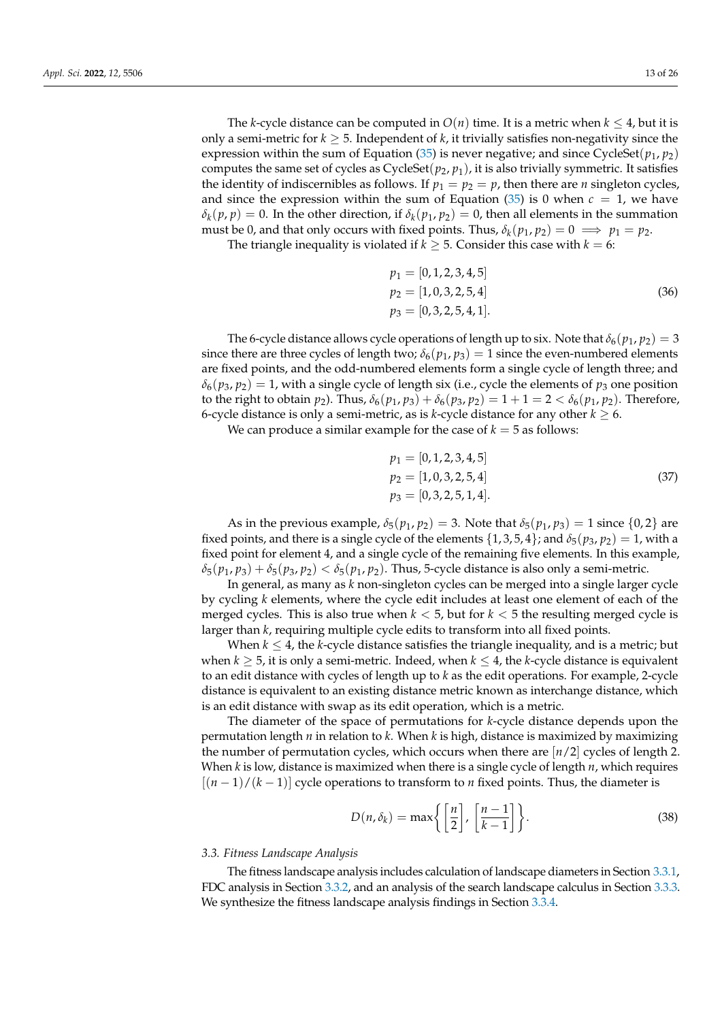The *k*-cycle distance can be computed in  $O(n)$  time. It is a metric when  $k \leq 4$ , but it is only a semi-metric for  $k \geq 5$ . Independent of k, it trivially satisfies non-negativity since the expression within the sum of Equation [\(35\)](#page-11-1) is never negative; and since CycleSet( $p_1$ ,  $p_2$ ) computes the same set of cycles as  $CycleSet(p_2, p_1)$ , it is also trivially symmetric. It satisfies the identity of indiscernibles as follows. If  $p_1 = p_2 = p$ , then there are *n* singleton cycles, and since the expression within the sum of Equation  $(35)$  is 0 when  $c = 1$ , we have  $\delta_k(p, p) = 0$ . In the other direction, if  $\delta_k(p_1, p_2) = 0$ , then all elements in the summation must be 0, and that only occurs with fixed points. Thus,  $\delta_k(p_1, p_2) = 0 \implies p_1 = p_2$ .

The triangle inequality is violated if  $k \geq 5$ . Consider this case with  $k = 6$ :

$$
p_1 = [0, 1, 2, 3, 4, 5]
$$
  
\n
$$
p_2 = [1, 0, 3, 2, 5, 4]
$$
  
\n
$$
p_3 = [0, 3, 2, 5, 4, 1].
$$
\n(36)

The 6-cycle distance allows cycle operations of length up to six. Note that  $\delta_6(p_1, p_2) = 3$ since there are three cycles of length two;  $\delta_6(p_1, p_3) = 1$  since the even-numbered elements are fixed points, and the odd-numbered elements form a single cycle of length three; and  $\delta_6(p_3, p_2) = 1$ , with a single cycle of length six (i.e., cycle the elements of  $p_3$  one position to the right to obtain *p*<sub>2</sub>). Thus,  $δ<sub>6</sub>(p<sub>1</sub>, p<sub>3</sub>) + δ<sub>6</sub>(p<sub>3</sub>, p<sub>2</sub>) = 1 + 1 = 2 < δ<sub>6</sub>(p<sub>1</sub>, p<sub>2</sub>)$ . Therefore, 6-cycle distance is only a semi-metric, as is *k*-cycle distance for any other  $k \geq 6$ .

We can produce a similar example for the case of  $k = 5$  as follows:

$$
p_1 = [0, 1, 2, 3, 4, 5]
$$
  
\n
$$
p_2 = [1, 0, 3, 2, 5, 4]
$$
  
\n
$$
p_3 = [0, 3, 2, 5, 1, 4].
$$
\n(37)

As in the previous example,  $\delta_5(p_1, p_2) = 3$ . Note that  $\delta_5(p_1, p_3) = 1$  since  $\{0, 2\}$  are fixed points, and there is a single cycle of the elements  $\{1, 3, 5, 4\}$ ; and  $\delta_5(p_3, p_2) = 1$ , with a fixed point for element 4, and a single cycle of the remaining five elements. In this example,  $\delta_5(p_1, p_3) + \delta_5(p_3, p_2) < \delta_5(p_1, p_2)$ . Thus, 5-cycle distance is also only a semi-metric.

In general, as many as *k* non-singleton cycles can be merged into a single larger cycle by cycling *k* elements, where the cycle edit includes at least one element of each of the merged cycles. This is also true when *k* < 5, but for *k* < 5 the resulting merged cycle is larger than *k*, requiring multiple cycle edits to transform into all fixed points.

When  $k \leq 4$ , the *k*-cycle distance satisfies the triangle inequality, and is a metric; but when  $k \geq 5$ , it is only a semi-metric. Indeed, when  $k \leq 4$ , the *k*-cycle distance is equivalent to an edit distance with cycles of length up to *k* as the edit operations. For example, 2-cycle distance is equivalent to an existing distance metric known as interchange distance, which is an edit distance with swap as its edit operation, which is a metric.

The diameter of the space of permutations for *k*-cycle distance depends upon the permutation length *n* in relation to *k*. When *k* is high, distance is maximized by maximizing the number of permutation cycles, which occurs when there are [*n*/2] cycles of length 2. When *k* is low, distance is maximized when there is a single cycle of length *n*, which requires  $[(n-1)/(k-1)]$  cycle operations to transform to *n* fixed points. Thus, the diameter is

$$
D(n, \delta_k) = \max\left\{ \left[ \frac{n}{2} \right], \left[ \frac{n-1}{k-1} \right] \right\}.
$$
 (38)

#### <span id="page-12-0"></span>*3.3. Fitness Landscape Analysis*

The fitness landscape analysis includes calculation of landscape diameters in Section [3.3.1,](#page-13-0) FDC analysis in Section [3.3.2,](#page-14-0) and an analysis of the search landscape calculus in Section [3.3.3.](#page-15-0) We synthesize the fitness landscape analysis findings in Section [3.3.4.](#page-16-0)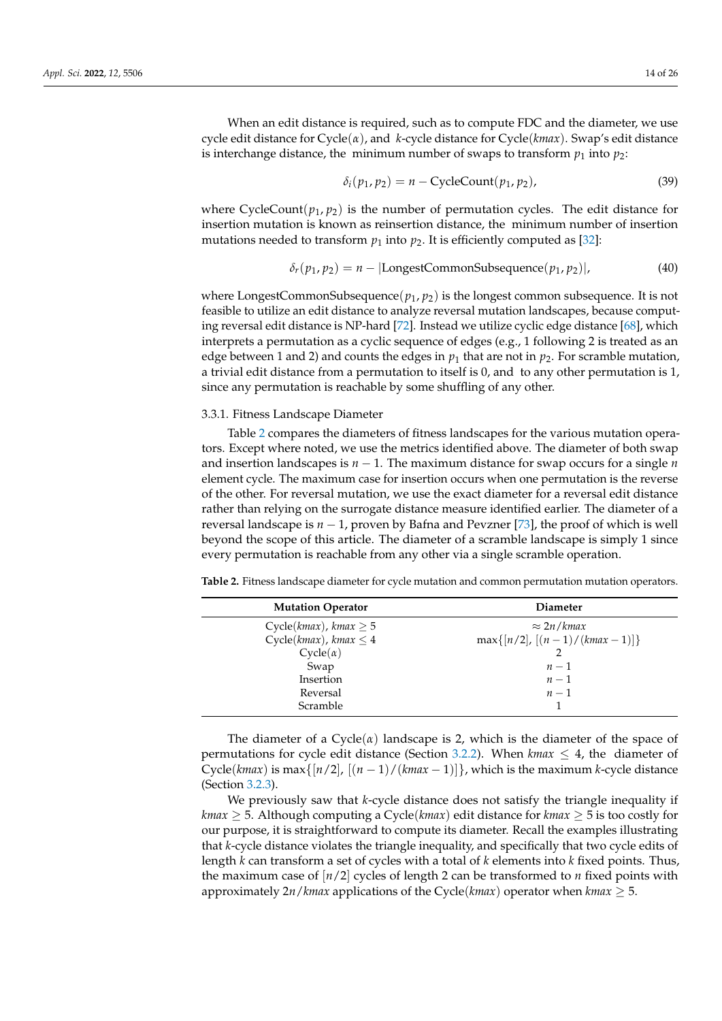When an edit distance is required, such as to compute FDC and the diameter, we use cycle edit distance for Cycle(*α*), and *k*-cycle distance for Cycle(*kmax*). Swap's edit distance is interchange distance, the minimum number of swaps to transform  $p_1$  into  $p_2$ :

$$
\delta_i(p_1, p_2) = n - \text{CycleCount}(p_1, p_2),\tag{39}
$$

where CycleCount( $p_1, p_2$ ) is the number of permutation cycles. The edit distance for insertion mutation is known as reinsertion distance, the minimum number of insertion mutations needed to transform  $p_1$  into  $p_2$ . It is efficiently computed as [\[32\]](#page-23-21):

$$
\delta_r(p_1, p_2) = n - |\text{LongestCommonSubsequence}(p_1, p_2)|,\tag{40}
$$

where LongestCommonSubsequence( $p_1$ ,  $p_2$ ) is the longest common subsequence. It is not feasible to utilize an edit distance to analyze reversal mutation landscapes, because computing reversal edit distance is NP-hard [\[72\]](#page-25-12). Instead we utilize cyclic edge distance [\[68\]](#page-25-8), which interprets a permutation as a cyclic sequence of edges (e.g., 1 following 2 is treated as an edge between 1 and 2) and counts the edges in  $p_1$  that are not in  $p_2$ . For scramble mutation, a trivial edit distance from a permutation to itself is 0, and to any other permutation is 1, since any permutation is reachable by some shuffling of any other.

## <span id="page-13-0"></span>3.3.1. Fitness Landscape Diameter

Table [2](#page-13-1) compares the diameters of fitness landscapes for the various mutation operators. Except where noted, we use the metrics identified above. The diameter of both swap and insertion landscapes is *n* − 1. The maximum distance for swap occurs for a single *n* element cycle. The maximum case for insertion occurs when one permutation is the reverse of the other. For reversal mutation, we use the exact diameter for a reversal edit distance rather than relying on the surrogate distance measure identified earlier. The diameter of a reversal landscape is *n* − 1, proven by Bafna and Pevzner [\[73\]](#page-25-13), the proof of which is well beyond the scope of this article. The diameter of a scramble landscape is simply 1 since every permutation is reachable from any other via a single scramble operation.

| <b>Mutation Operator</b>       | <b>Diameter</b>                   |
|--------------------------------|-----------------------------------|
| Cycle( $kmax$ ), $kmax \geq 5$ | $\approx 2n/k$ max                |
| $Cycle(kmax)$ , kmax $\leq 4$  | $\max\{[n/2], [(n-1)/(kmax-1)]\}$ |
| $Cycle(\alpha)$                |                                   |
| Swap                           | $n-1$                             |
| Insertion                      | $n-1$                             |
| Reversal                       | $n-1$                             |
| Scramble                       |                                   |

<span id="page-13-1"></span>**Table 2.** Fitness landscape diameter for cycle mutation and common permutation mutation operators.

The diameter of a  $Cycle(\alpha)$  landscape is 2, which is the diameter of the space of permutations for cycle edit distance (Section [3.2.2\)](#page-10-0). When  $kmax \leq 4$ , the diameter of Cycle( $kmax$ ) is max{ $\frac{n}{2}$ ,  $\frac{n-1}{kmax - 1}$ , which is the maximum *k*-cycle distance (Section [3.2.3\)](#page-11-0).

We previously saw that *k*-cycle distance does not satisfy the triangle inequality if *kmax*  $\geq$  5. Although computing a Cycle(*kmax*) edit distance for *kmax*  $\geq$  5 is too costly for our purpose, it is straightforward to compute its diameter. Recall the examples illustrating that *k*-cycle distance violates the triangle inequality, and specifically that two cycle edits of length *k* can transform a set of cycles with a total of *k* elements into *k* fixed points. Thus, the maximum case of  $\lfloor n/2 \rfloor$  cycles of length 2 can be transformed to *n* fixed points with approximately  $2n/kmax$  applications of the Cycle( $kmax$ ) operator when  $kmax \geq 5$ .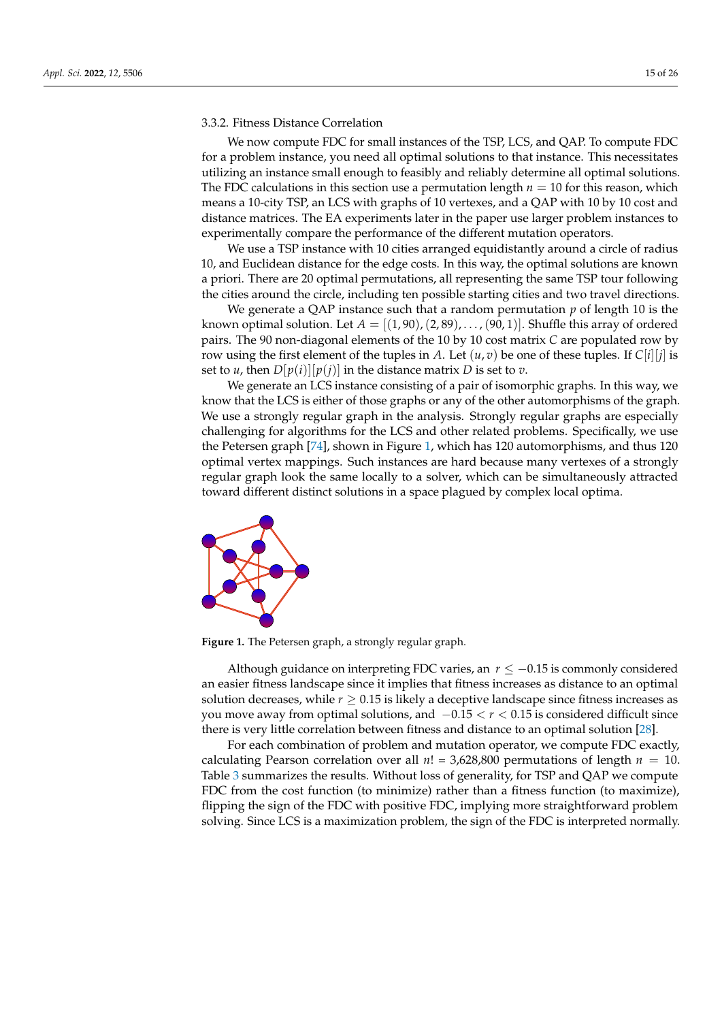# <span id="page-14-0"></span>3.3.2. Fitness Distance Correlation

We now compute FDC for small instances of the TSP, LCS, and QAP. To compute FDC for a problem instance, you need all optimal solutions to that instance. This necessitates utilizing an instance small enough to feasibly and reliably determine all optimal solutions. The FDC calculations in this section use a permutation length  $n = 10$  for this reason, which means a 10-city TSP, an LCS with graphs of 10 vertexes, and a QAP with 10 by 10 cost and distance matrices. The EA experiments later in the paper use larger problem instances to experimentally compare the performance of the different mutation operators.

We use a TSP instance with 10 cities arranged equidistantly around a circle of radius 10, and Euclidean distance for the edge costs. In this way, the optimal solutions are known a priori. There are 20 optimal permutations, all representing the same TSP tour following the cities around the circle, including ten possible starting cities and two travel directions.

We generate a QAP instance such that a random permutation *p* of length 10 is the known optimal solution. Let  $A = [(1, 90), (2, 89), \ldots, (90, 1)]$ . Shuffle this array of ordered pairs. The 90 non-diagonal elements of the 10 by 10 cost matrix *C* are populated row by row using the first element of the tuples in *A*. Let  $(u, v)$  be one of these tuples. If  $C[i][j]$  is set to *u*, then  $D[p(i)][p(j)]$  in the distance matrix *D* is set to *v*.

We generate an LCS instance consisting of a pair of isomorphic graphs. In this way, we know that the LCS is either of those graphs or any of the other automorphisms of the graph. We use a strongly regular graph in the analysis. Strongly regular graphs are especially challenging for algorithms for the LCS and other related problems. Specifically, we use the Petersen graph [\[74\]](#page-25-14), shown in Figure [1,](#page-14-1) which has 120 automorphisms, and thus 120 optimal vertex mappings. Such instances are hard because many vertexes of a strongly regular graph look the same locally to a solver, which can be simultaneously attracted toward different distinct solutions in a space plagued by complex local optima.

<span id="page-14-1"></span>

**Figure 1.** The Petersen graph, a strongly regular graph.

Although guidance on interpreting FDC varies, an  $r \le -0.15$  is commonly considered an easier fitness landscape since it implies that fitness increases as distance to an optimal solution decreases, while  $r \geq 0.15$  is likely a deceptive landscape since fitness increases as you move away from optimal solutions, and −0.15 < *r* < 0.15 is considered difficult since there is very little correlation between fitness and distance to an optimal solution [\[28\]](#page-23-17).

For each combination of problem and mutation operator, we compute FDC exactly, calculating Pearson correlation over all  $n! = 3,628,800$  permutations of length  $n = 10$ . Table [3](#page-15-1) summarizes the results. Without loss of generality, for TSP and QAP we compute FDC from the cost function (to minimize) rather than a fitness function (to maximize), flipping the sign of the FDC with positive FDC, implying more straightforward problem solving. Since LCS is a maximization problem, the sign of the FDC is interpreted normally.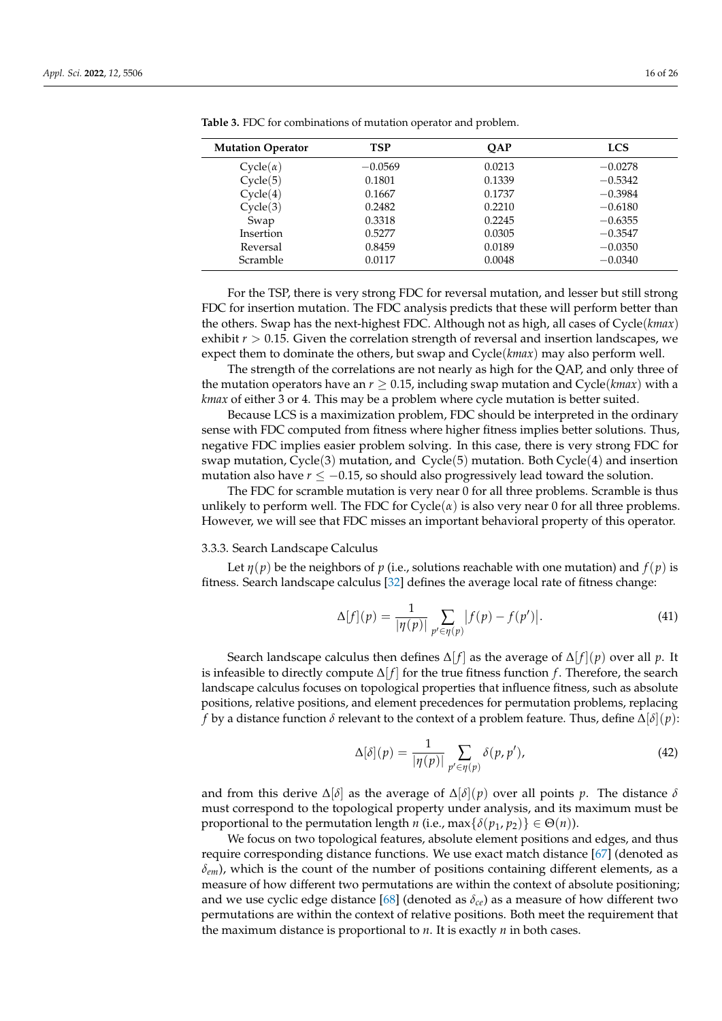| <b>Mutation Operator</b> | TSP       | <b>OAP</b> | <b>LCS</b> |
|--------------------------|-----------|------------|------------|
| $Cycle(\alpha)$          | $-0.0569$ | 0.0213     | $-0.0278$  |
| Cycle(5)                 | 0.1801    | 0.1339     | $-0.5342$  |
| Cycle(4)                 | 0.1667    | 0.1737     | $-0.3984$  |
| Cycle(3)                 | 0.2482    | 0.2210     | $-0.6180$  |
| Swap                     | 0.3318    | 0.2245     | $-0.6355$  |
| Insertion                | 0.5277    | 0.0305     | $-0.3547$  |
| Reversal                 | 0.8459    | 0.0189     | $-0.0350$  |
| <b>Scramble</b>          | 0.0117    | 0.0048     | $-0.0340$  |

<span id="page-15-1"></span>**Table 3.** FDC for combinations of mutation operator and problem.

For the TSP, there is very strong FDC for reversal mutation, and lesser but still strong FDC for insertion mutation. The FDC analysis predicts that these will perform better than the others. Swap has the next-highest FDC. Although not as high, all cases of Cycle(*kmax*) exhibit  $r > 0.15$ . Given the correlation strength of reversal and insertion landscapes, we expect them to dominate the others, but swap and Cycle(*kmax*) may also perform well.

The strength of the correlations are not nearly as high for the QAP, and only three of the mutation operators have an  $r \geq 0.15$ , including swap mutation and Cycle( $kmax$ ) with a *kmax* of either 3 or 4. This may be a problem where cycle mutation is better suited.

Because LCS is a maximization problem, FDC should be interpreted in the ordinary sense with FDC computed from fitness where higher fitness implies better solutions. Thus, negative FDC implies easier problem solving. In this case, there is very strong FDC for swap mutation, Cycle(3) mutation, and Cycle(5) mutation. Both Cycle(4) and insertion mutation also have  $r \leq -0.15$ , so should also progressively lead toward the solution.

The FDC for scramble mutation is very near 0 for all three problems. Scramble is thus unlikely to perform well. The FDC for  $Cycle(\alpha)$  is also very near 0 for all three problems. However, we will see that FDC misses an important behavioral property of this operator.

## <span id="page-15-0"></span>3.3.3. Search Landscape Calculus

Let  $\eta(p)$  be the neighbors of p (i.e., solutions reachable with one mutation) and  $f(p)$  is fitness. Search landscape calculus [\[32\]](#page-23-21) defines the average local rate of fitness change:

$$
\Delta[f](p) = \frac{1}{|\eta(p)|} \sum_{p' \in \eta(p)} |f(p) - f(p')|.
$$
 (41)

Search landscape calculus then defines  $\Delta[f]$  as the average of  $\Delta[f](p)$  over all *p*. It is infeasible to directly compute  $\Delta[f]$  for the true fitness function *f*. Therefore, the search landscape calculus focuses on topological properties that influence fitness, such as absolute positions, relative positions, and element precedences for permutation problems, replacing *f* by a distance function  $\delta$  relevant to the context of a problem feature. Thus, define  $\Delta[\delta](p)$ :

$$
\Delta[\delta](p) = \frac{1}{|\eta(p)|} \sum_{p' \in \eta(p)} \delta(p, p'),\tag{42}
$$

and from this derive ∆[*δ*] as the average of ∆[*δ*](*p*) over all points *p*. The distance *δ* must correspond to the topological property under analysis, and its maximum must be proportional to the permutation length *n* (i.e., max $\{\delta(p_1, p_2)\} \in \Theta(n)$ ).

We focus on two topological features, absolute element positions and edges, and thus require corresponding distance functions. We use exact match distance [\[67\]](#page-25-15) (denoted as *δem*), which is the count of the number of positions containing different elements, as a measure of how different two permutations are within the context of absolute positioning; and we use cyclic edge distance [\[68\]](#page-25-8) (denoted as  $\delta_{ce}$ ) as a measure of how different two permutations are within the context of relative positions. Both meet the requirement that the maximum distance is proportional to *n*. It is exactly *n* in both cases.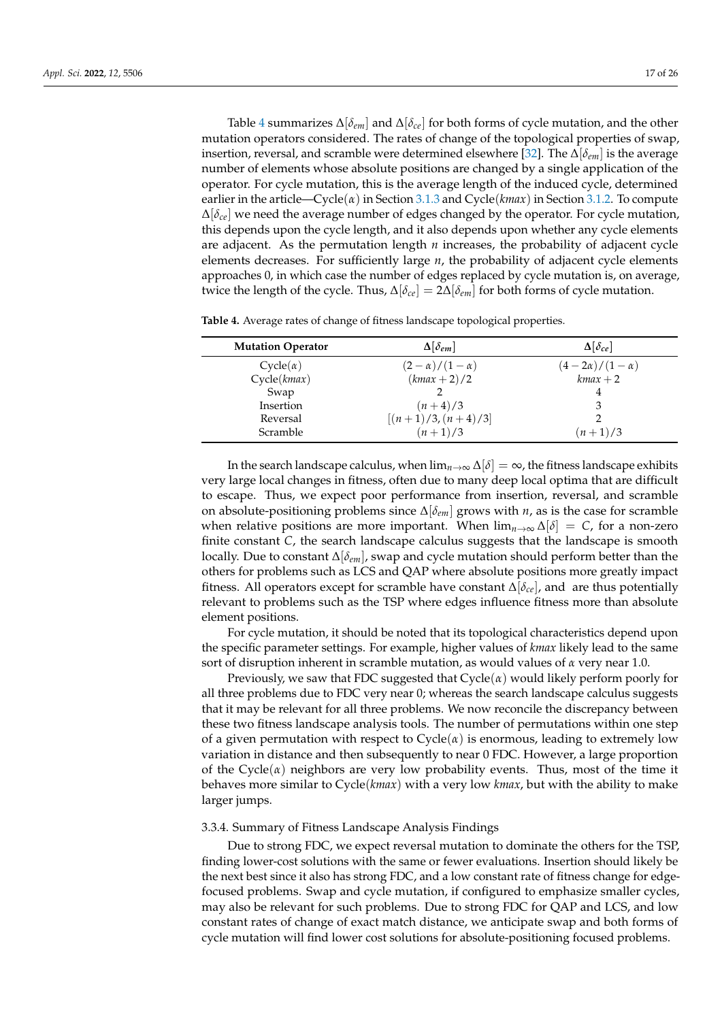Table [4](#page-16-1) summarizes ∆[*δem*] and ∆[*δce*] for both forms of cycle mutation, and the other mutation operators considered. The rates of change of the topological properties of swap, insertion, reversal, and scramble were determined elsewhere [\[32\]](#page-23-21). The ∆[*δem*] is the average number of elements whose absolute positions are changed by a single application of the operator. For cycle mutation, this is the average length of the induced cycle, determined earlier in the article—Cycle( $\alpha$ ) in Section [3.1.3](#page-7-1) and Cycle( $kmax$ ) in Section [3.1.2.](#page-7-0) To compute ∆[*δce*] we need the average number of edges changed by the operator. For cycle mutation, this depends upon the cycle length, and it also depends upon whether any cycle elements are adjacent. As the permutation length *n* increases, the probability of adjacent cycle elements decreases. For sufficiently large *n*, the probability of adjacent cycle elements approaches 0, in which case the number of edges replaced by cycle mutation is, on average, twice the length of the cycle. Thus,  $\Delta[\delta_{ce}] = 2\Delta[\delta_{em}]$  for both forms of cycle mutation.

| <b>Mutation Operator</b> | $\Delta[\delta_{em}]$   | $\Delta[\delta_{ce}]$    |
|--------------------------|-------------------------|--------------------------|
| $Cycle(\alpha)$          | $(2-\alpha)/(1-\alpha)$ | $(4-2\alpha)/(1-\alpha)$ |
| Cycle(kmax)              | $(kmax + 2)/2$          | $kmax + 2$               |
| Swap                     |                         |                          |
| Insertion                | $(n+4)/3$               |                          |
| Reversal                 | $[(n+1)/3,(n+4)/3]$     |                          |
| Scramble                 | $(n+1)/3$               | $(n+1)/3$                |

<span id="page-16-1"></span>**Table 4.** Average rates of change of fitness landscape topological properties.

In the search landscape calculus, when  $\lim_{n\to\infty}\Delta[\delta]=\infty$ , the fitness landscape exhibits very large local changes in fitness, often due to many deep local optima that are difficult to escape. Thus, we expect poor performance from insertion, reversal, and scramble on absolute-positioning problems since ∆[*δem*] grows with *n*, as is the case for scramble when relative positions are more important. When  $\lim_{n\to\infty} \Delta[\delta] = C$ , for a non-zero finite constant *C*, the search landscape calculus suggests that the landscape is smooth locally. Due to constant ∆[*δem*], swap and cycle mutation should perform better than the others for problems such as LCS and QAP where absolute positions more greatly impact fitness. All operators except for scramble have constant ∆[*δce*], and are thus potentially relevant to problems such as the TSP where edges influence fitness more than absolute element positions.

For cycle mutation, it should be noted that its topological characteristics depend upon the specific parameter settings. For example, higher values of *kmax* likely lead to the same sort of disruption inherent in scramble mutation, as would values of *α* very near 1.0.

Previously, we saw that FDC suggested that  $Cycle(\alpha)$  would likely perform poorly for all three problems due to FDC very near 0; whereas the search landscape calculus suggests that it may be relevant for all three problems. We now reconcile the discrepancy between these two fitness landscape analysis tools. The number of permutations within one step of a given permutation with respect to  $Cycle(\alpha)$  is enormous, leading to extremely low variation in distance and then subsequently to near 0 FDC. However, a large proportion of the Cycle( $\alpha$ ) neighbors are very low probability events. Thus, most of the time it behaves more similar to Cycle(*kmax*) with a very low *kmax*, but with the ability to make larger jumps.

# <span id="page-16-0"></span>3.3.4. Summary of Fitness Landscape Analysis Findings

Due to strong FDC, we expect reversal mutation to dominate the others for the TSP, finding lower-cost solutions with the same or fewer evaluations. Insertion should likely be the next best since it also has strong FDC, and a low constant rate of fitness change for edgefocused problems. Swap and cycle mutation, if configured to emphasize smaller cycles, may also be relevant for such problems. Due to strong FDC for QAP and LCS, and low constant rates of change of exact match distance, we anticipate swap and both forms of cycle mutation will find lower cost solutions for absolute-positioning focused problems.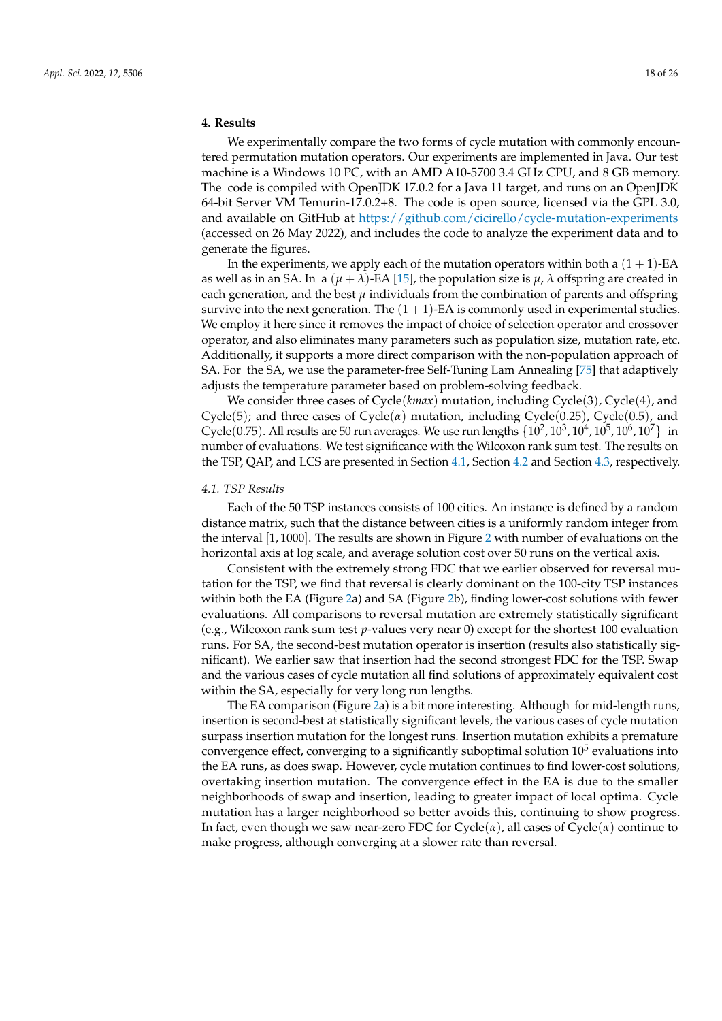# <span id="page-17-0"></span>**4. Results**

We experimentally compare the two forms of cycle mutation with commonly encountered permutation mutation operators. Our experiments are implemented in Java. Our test machine is a Windows 10 PC, with an AMD A10-5700 3.4 GHz CPU, and 8 GB memory. The code is compiled with OpenJDK 17.0.2 for a Java 11 target, and runs on an OpenJDK 64-bit Server VM Temurin-17.0.2+8. The code is open source, licensed via the GPL 3.0, and available on GitHub at <https://github.com/cicirello/cycle-mutation-experiments> (accessed on 26 May 2022), and includes the code to analyze the experiment data and to generate the figures.

In the experiments, we apply each of the mutation operators within both a  $(1 + 1)$ -EA as well as in an SA. In a  $(\mu + \lambda)$ -EA [\[15\]](#page-23-5), the population size is  $\mu$ ,  $\lambda$  offspring are created in each generation, and the best  $\mu$  individuals from the combination of parents and offspring survive into the next generation. The  $(1 + 1)$ -EA is commonly used in experimental studies. We employ it here since it removes the impact of choice of selection operator and crossover operator, and also eliminates many parameters such as population size, mutation rate, etc. Additionally, it supports a more direct comparison with the non-population approach of SA. For the SA, we use the parameter-free Self-Tuning Lam Annealing [\[75\]](#page-25-16) that adaptively adjusts the temperature parameter based on problem-solving feedback.

We consider three cases of Cycle(*kmax*) mutation, including Cycle(3), Cycle(4), and Cycle(5); and three cases of Cycle(*α*) mutation, including Cycle(0.25), Cycle(0.5), and Cycle(0.75). All results are 50 run averages. We use run lengths  $\{10^2, 10^3, 10^4, 10^5, 10^6, 10^7\}$  in number of evaluations. We test significance with the Wilcoxon rank sum test. The results on the TSP, QAP, and LCS are presented in Section [4.1,](#page-17-1) Section [4.2](#page-18-0) and Section [4.3,](#page-19-0) respectively.

## <span id="page-17-1"></span>*4.1. TSP Results*

Each of the 50 TSP instances consists of 100 cities. An instance is defined by a random distance matrix, such that the distance between cities is a uniformly random integer from the interval [1, 1000]. The results are shown in Figure [2](#page-18-1) with number of evaluations on the horizontal axis at log scale, and average solution cost over 50 runs on the vertical axis.

Consistent with the extremely strong FDC that we earlier observed for reversal mutation for the TSP, we find that reversal is clearly dominant on the 100-city TSP instances within both the EA (Figure [2a](#page-18-1)) and SA (Figure [2b](#page-18-1)), finding lower-cost solutions with fewer evaluations. All comparisons to reversal mutation are extremely statistically significant (e.g., Wilcoxon rank sum test *p*-values very near 0) except for the shortest 100 evaluation runs. For SA, the second-best mutation operator is insertion (results also statistically significant). We earlier saw that insertion had the second strongest FDC for the TSP. Swap and the various cases of cycle mutation all find solutions of approximately equivalent cost within the SA, especially for very long run lengths.

The EA comparison (Figure [2a](#page-18-1)) is a bit more interesting. Although for mid-length runs, insertion is second-best at statistically significant levels, the various cases of cycle mutation surpass insertion mutation for the longest runs. Insertion mutation exhibits a premature convergence effect, converging to a significantly suboptimal solution  $10^5$  evaluations into the EA runs, as does swap. However, cycle mutation continues to find lower-cost solutions, overtaking insertion mutation. The convergence effect in the EA is due to the smaller neighborhoods of swap and insertion, leading to greater impact of local optima. Cycle mutation has a larger neighborhood so better avoids this, continuing to show progress. In fact, even though we saw near-zero FDC for Cycle(*α*), all cases of Cycle(*α*) continue to make progress, although converging at a slower rate than reversal.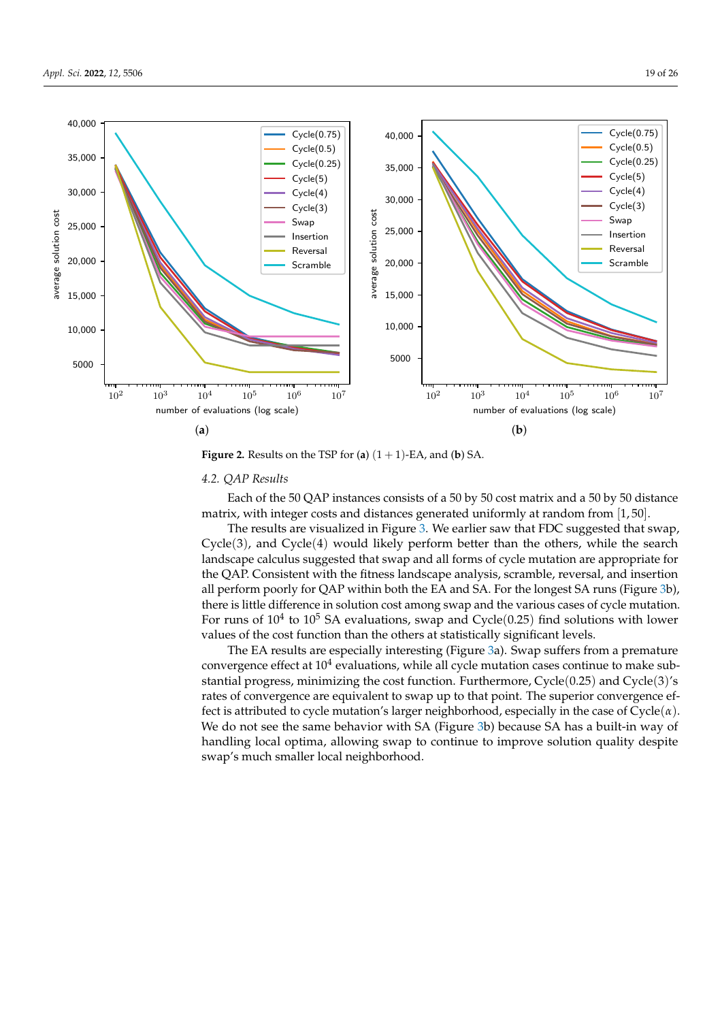

<span id="page-18-1"></span>

**Figure 2.** Results on the TSP for (**a**)  $(1 + 1)$ -EA, and (**b**) SA.

# <span id="page-18-0"></span>*4.2. QAP Results*

Each of the 50 QAP instances consists of a 50 by 50 cost matrix and a 50 by 50 distance matrix, with integer costs and distances generated uniformly at random from [1, 50].

The results are visualized in Figure [3.](#page-19-1) We earlier saw that FDC suggested that swap, Cycle(3), and Cycle(4) would likely perform better than the others, while the search landscape calculus suggested that swap and all forms of cycle mutation are appropriate for the QAP. Consistent with the fitness landscape analysis, scramble, reversal, and insertion all perform poorly for QAP within both the EA and SA. For the longest SA runs (Figure [3b](#page-19-1)), there is little difference in solution cost among swap and the various cases of cycle mutation. For runs of  $10^4$  to  $10^5$  SA evaluations, swap and Cycle $(0.25)$  find solutions with lower values of the cost function than the others at statistically significant levels.

The EA results are especially interesting (Figure [3a](#page-19-1)). Swap suffers from a premature convergence effect at  $10^4$  evaluations, while all cycle mutation cases continue to make substantial progress, minimizing the cost function. Furthermore, Cycle(0.25) and Cycle(3)'s rates of convergence are equivalent to swap up to that point. The superior convergence effect is attributed to cycle mutation's larger neighborhood, especially in the case of Cycle(*α*). We do not see the same behavior with SA (Figure [3b](#page-19-1)) because SA has a built-in way of handling local optima, allowing swap to continue to improve solution quality despite swap's much smaller local neighborhood.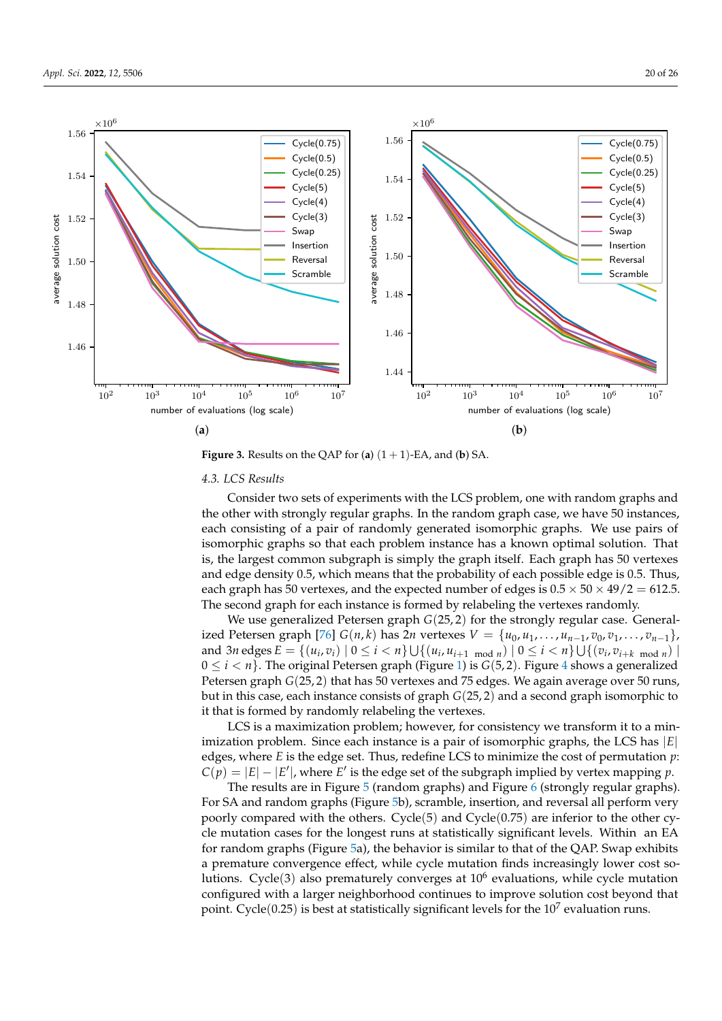<span id="page-19-1"></span>

**Figure 3.** Results on the QAP for (**a**)  $(1 + 1)$ -EA, and (**b**) SA.

## <span id="page-19-0"></span>*4.3. LCS Results*

Consider two sets of experiments with the LCS problem, one with random graphs and the other with strongly regular graphs. In the random graph case, we have 50 instances, each consisting of a pair of randomly generated isomorphic graphs. We use pairs of isomorphic graphs so that each problem instance has a known optimal solution. That is, the largest common subgraph is simply the graph itself. Each graph has 50 vertexes and edge density 0.5, which means that the probability of each possible edge is 0.5. Thus, each graph has 50 vertexes, and the expected number of edges is  $0.5 \times 50 \times 49/2 = 612.5$ . The second graph for each instance is formed by relabeling the vertexes randomly.

We use generalized Petersen graph *G*(25, 2) for the strongly regular case. General-ized Petersen graph [\[76\]](#page-25-17) *G*(*n*,*k*) has 2*n* vertexes *V* = { $u_0, u_1, \ldots, u_{n-1}, v_0, v_1, \ldots, v_{n-1}$ }, and 3*n* edges  $E = \{(u_i, v_i) | 0 \le i < n\} \cup \{(u_i, u_{i+1 \mod n}) | 0 \le i < n\} \cup \{(v_i, v_{i+k \mod n}) | 0 \le i < n\}$  $0 \le i < n$ . The original Petersen graph (Figure [1\)](#page-14-1) is  $G(5, 2)$ . Figure [4](#page-20-0) shows a generalized Petersen graph *G*(25, 2) that has 50 vertexes and 75 edges. We again average over 50 runs, but in this case, each instance consists of graph *G*(25, 2) and a second graph isomorphic to it that is formed by randomly relabeling the vertexes.

LCS is a maximization problem; however, for consistency we transform it to a minimization problem. Since each instance is a pair of isomorphic graphs, the LCS has |*E*| edges, where *E* is the edge set. Thus, redefine LCS to minimize the cost of permutation *p*:  $C(p) = |E| - |E'|$ , where *E'* is the edge set of the subgraph implied by vertex mapping *p*.

The results are in Figure [5](#page-20-1) (random graphs) and Figure [6](#page-21-1) (strongly regular graphs). For SA and random graphs (Figure [5b](#page-20-1)), scramble, insertion, and reversal all perform very poorly compared with the others. Cycle(5) and Cycle(0.75) are inferior to the other cycle mutation cases for the longest runs at statistically significant levels. Within an EA for random graphs (Figure [5a](#page-20-1)), the behavior is similar to that of the QAP. Swap exhibits a premature convergence effect, while cycle mutation finds increasingly lower cost solutions. Cycle(3) also prematurely converges at 10<sup>6</sup> evaluations, while cycle mutation configured with a larger neighborhood continues to improve solution cost beyond that point. Cycle $(0.25)$  is best at statistically significant levels for the  $10^7$  evaluation runs.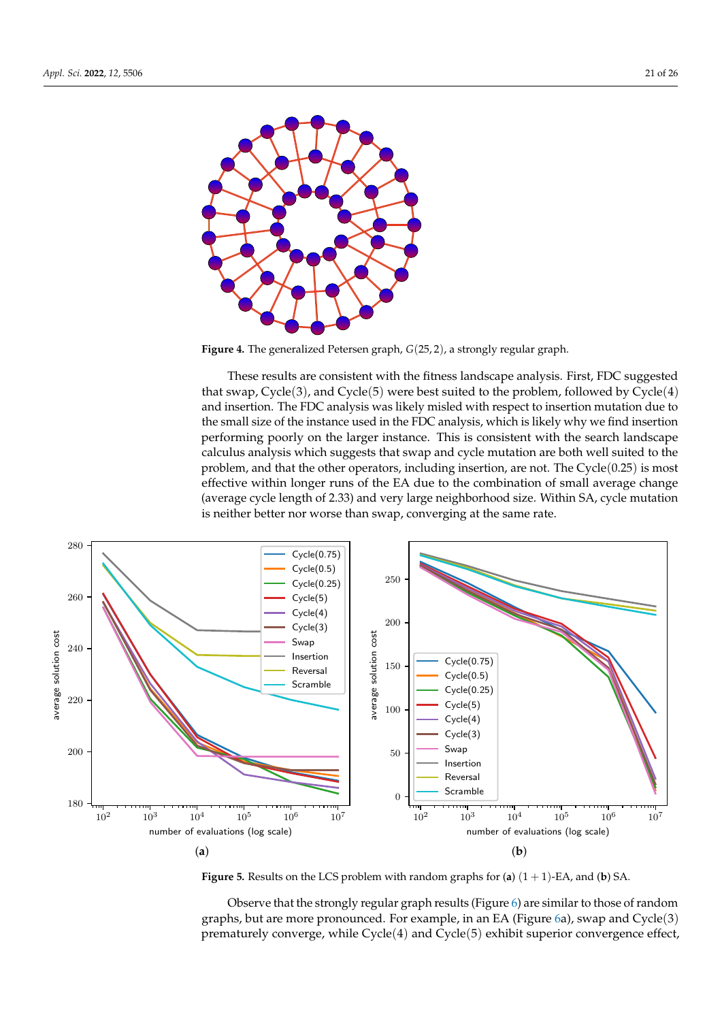<span id="page-20-0"></span>

**Figure 4.** The generalized Petersen graph, *G*(25, 2), a strongly regular graph.

<span id="page-20-1"></span>These results are consistent with the fitness landscape analysis. First, FDC suggested that swap,  $Cycle(3)$ , and  $Cycle(5)$  were best suited to the problem, followed by  $Cycle(4)$ and insertion. The FDC analysis was likely misled with respect to insertion mutation due to the small size of the instance used in the FDC analysis, which is likely why we find insertion performing poorly on the larger instance. This is consistent with the search landscape calculus analysis which suggests that swap and cycle mutation are both well suited to the problem, and that the other operators, including insertion, are not. The  $Cycle(0.25)$  is most effective within longer runs of the EA due to the combination of small average change (average cycle length of 2.33) and very large neighborhood size. Within SA, cycle mutation is neither better nor worse than swap, converging at the same rate.



**Figure 5.** Results on the LCS problem with random graphs for (**a**) (1 + 1)-EA, and (**b**) SA.

Observe that the strongly regular graph results (Figure [6\)](#page-21-1) are similar to those of random graphs, but are more pronounced. For example, in an EA (Figure [6a](#page-21-1)), swap and Cycle(3) prematurely converge, while Cycle(4) and Cycle(5) exhibit superior convergence effect,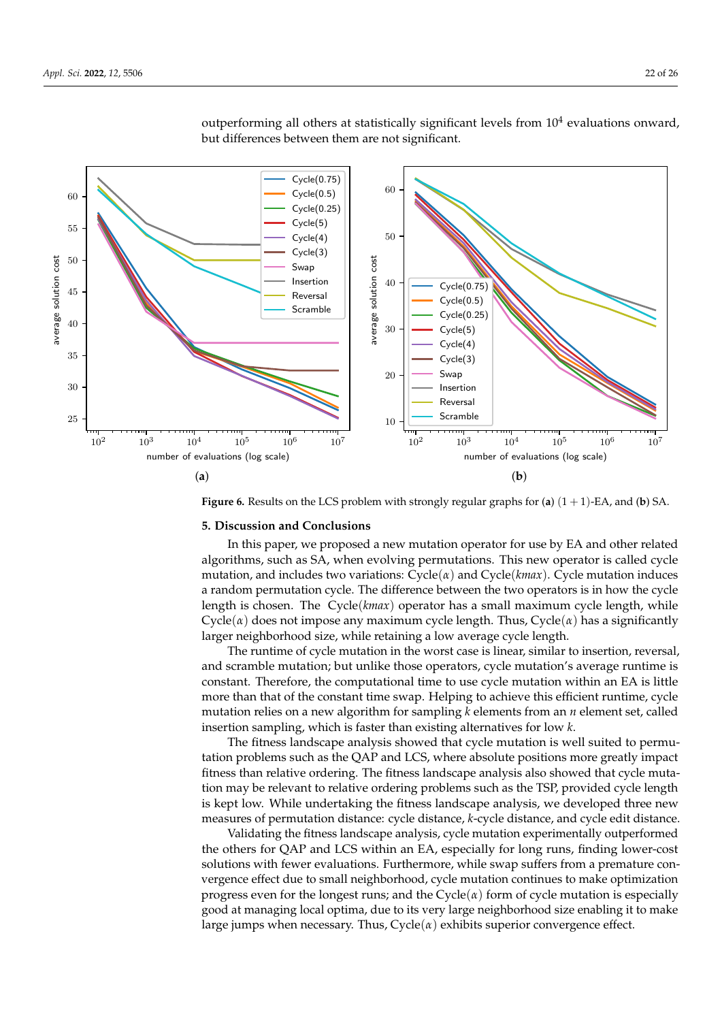

<span id="page-21-1"></span>outperforming all others at statistically significant levels from  $10^4$  evaluations onward, but differences between them are not significant.

**Figure 6.** Results on the LCS problem with strongly regular graphs for (**a**) (1 + 1)-EA, and (**b**) SA.

# <span id="page-21-0"></span>**5. Discussion and Conclusions**

In this paper, we proposed a new mutation operator for use by EA and other related algorithms, such as SA, when evolving permutations. This new operator is called cycle mutation, and includes two variations: Cycle(*α*) and Cycle(*kmax*). Cycle mutation induces a random permutation cycle. The difference between the two operators is in how the cycle length is chosen. The Cycle(*kmax*) operator has a small maximum cycle length, while Cycle( $\alpha$ ) does not impose any maximum cycle length. Thus, Cycle( $\alpha$ ) has a significantly larger neighborhood size, while retaining a low average cycle length.

The runtime of cycle mutation in the worst case is linear, similar to insertion, reversal, and scramble mutation; but unlike those operators, cycle mutation's average runtime is constant. Therefore, the computational time to use cycle mutation within an EA is little more than that of the constant time swap. Helping to achieve this efficient runtime, cycle mutation relies on a new algorithm for sampling *k* elements from an *n* element set, called insertion sampling, which is faster than existing alternatives for low *k*.

The fitness landscape analysis showed that cycle mutation is well suited to permutation problems such as the QAP and LCS, where absolute positions more greatly impact fitness than relative ordering. The fitness landscape analysis also showed that cycle mutation may be relevant to relative ordering problems such as the TSP, provided cycle length is kept low. While undertaking the fitness landscape analysis, we developed three new measures of permutation distance: cycle distance, *k*-cycle distance, and cycle edit distance.

Validating the fitness landscape analysis, cycle mutation experimentally outperformed the others for QAP and LCS within an EA, especially for long runs, finding lower-cost solutions with fewer evaluations. Furthermore, while swap suffers from a premature convergence effect due to small neighborhood, cycle mutation continues to make optimization progress even for the longest runs; and the  $Cycle(\alpha)$  form of cycle mutation is especially good at managing local optima, due to its very large neighborhood size enabling it to make large jumps when necessary. Thus, Cycle(*α*) exhibits superior convergence effect.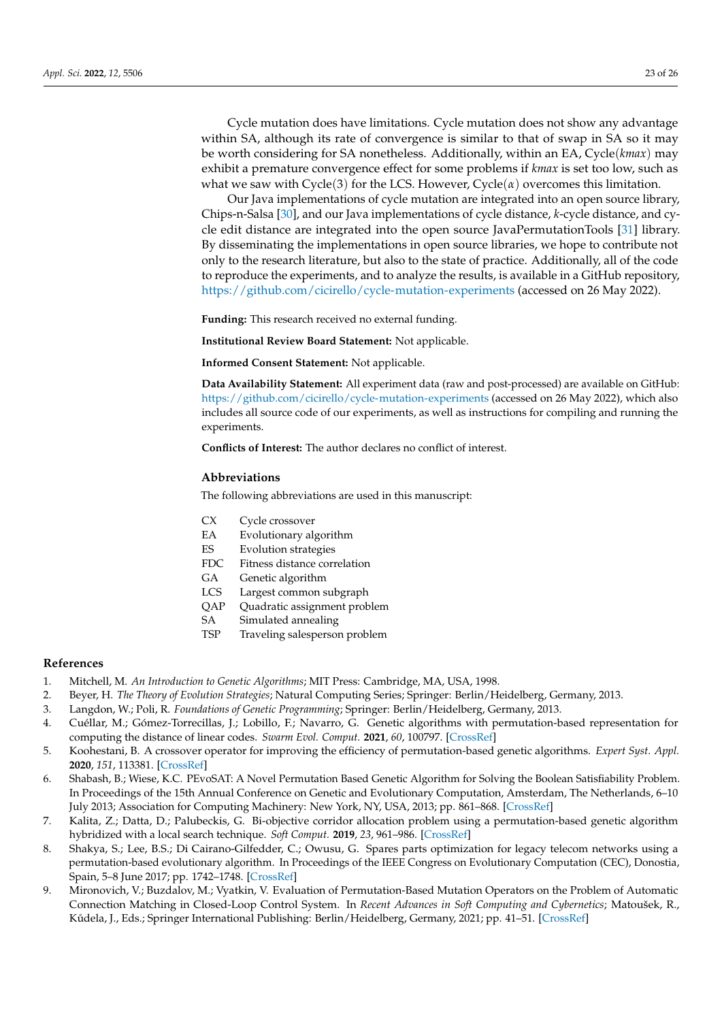Cycle mutation does have limitations. Cycle mutation does not show any advantage within SA, although its rate of convergence is similar to that of swap in SA so it may be worth considering for SA nonetheless. Additionally, within an EA, Cycle(*kmax*) may exhibit a premature convergence effect for some problems if *kmax* is set too low, such as what we saw with  $Cycle(3)$  for the LCS. However,  $Cycle(\alpha)$  overcomes this limitation.

Our Java implementations of cycle mutation are integrated into an open source library, Chips-n-Salsa [\[30\]](#page-23-19), and our Java implementations of cycle distance, *k*-cycle distance, and cycle edit distance are integrated into the open source JavaPermutationTools [\[31\]](#page-23-20) library. By disseminating the implementations in open source libraries, we hope to contribute not only to the research literature, but also to the state of practice. Additionally, all of the code to reproduce the experiments, and to analyze the results, is available in a GitHub repository, <https://github.com/cicirello/cycle-mutation-experiments> (accessed on 26 May 2022).

**Funding:** This research received no external funding.

**Institutional Review Board Statement:** Not applicable.

**Informed Consent Statement:** Not applicable.

**Data Availability Statement:** All experiment data (raw and post-processed) are available on GitHub: <https://github.com/cicirello/cycle-mutation-experiments> (accessed on 26 May 2022), which also includes all source code of our experiments, as well as instructions for compiling and running the experiments.

**Conflicts of Interest:** The author declares no conflict of interest.

# **Abbreviations**

The following abbreviations are used in this manuscript:

- CX Cycle crossover
- EA Evolutionary algorithm
- ES Evolution strategies
- FDC Fitness distance correlation
- GA Genetic algorithm
- LCS Largest common subgraph
- QAP Quadratic assignment problem
- SA Simulated annealing
- TSP Traveling salesperson problem

# **References**

- <span id="page-22-0"></span>1. Mitchell, M. *An Introduction to Genetic Algorithms*; MIT Press: Cambridge, MA, USA, 1998.
- <span id="page-22-1"></span>2. Beyer, H. *The Theory of Evolution Strategies*; Natural Computing Series; Springer: Berlin/Heidelberg, Germany, 2013.
- <span id="page-22-2"></span>3. Langdon, W.; Poli, R. *Foundations of Genetic Programming*; Springer: Berlin/Heidelberg, Germany, 2013.
- <span id="page-22-3"></span>4. Cuéllar, M.; Gómez-Torrecillas, J.; Lobillo, F.; Navarro, G. Genetic algorithms with permutation-based representation for computing the distance of linear codes. *Swarm Evol. Comput.* **2021**, *60*, 100797. [\[CrossRef\]](http://doi.org/10.1016/j.swevo.2020.100797)
- 5. Koohestani, B. A crossover operator for improving the efficiency of permutation-based genetic algorithms. *Expert Syst. Appl.* **2020**, *151*, 113381. [\[CrossRef\]](http://dx.doi.org/10.1016/j.eswa.2020.113381)
- 6. Shabash, B.; Wiese, K.C. PEvoSAT: A Novel Permutation Based Genetic Algorithm for Solving the Boolean Satisfiability Problem. In Proceedings of the 15th Annual Conference on Genetic and Evolutionary Computation, Amsterdam, The Netherlands, 6–10 July 2013; Association for Computing Machinery: New York, NY, USA, 2013; pp. 861–868. [\[CrossRef\]](http://dx.doi.org/10.1145/2463372.2463479)
- <span id="page-22-4"></span>7. Kalita, Z.; Datta, D.; Palubeckis, G. Bi-objective corridor allocation problem using a permutation-based genetic algorithm hybridized with a local search technique. *Soft Comput.* **2019**, *23*, 961–986. [\[CrossRef\]](http://dx.doi.org/10.1007/s00500-017-2807-0)
- <span id="page-22-5"></span>8. Shakya, S.; Lee, B.S.; Di Cairano-Gilfedder, C.; Owusu, G. Spares parts optimization for legacy telecom networks using a permutation-based evolutionary algorithm. In Proceedings of the IEEE Congress on Evolutionary Computation (CEC), Donostia, Spain, 5–8 June 2017; pp. 1742–1748. [\[CrossRef\]](http://dx.doi.org/10.1109/CEC.2017.7969512)
- <span id="page-22-6"></span>9. Mironovich, V.; Buzdalov, M.; Vyatkin, V. Evaluation of Permutation-Based Mutation Operators on the Problem of Automatic Connection Matching in Closed-Loop Control System. In *Recent Advances in Soft Computing and Cybernetics*; Matoušek, R., Kůdela, J., Eds.; Springer International Publishing: Berlin/Heidelberg, Germany, 2021; pp. 41–51. [\[CrossRef\]](http://dx.doi.org/10.1007/978-3-030-61659-5_4)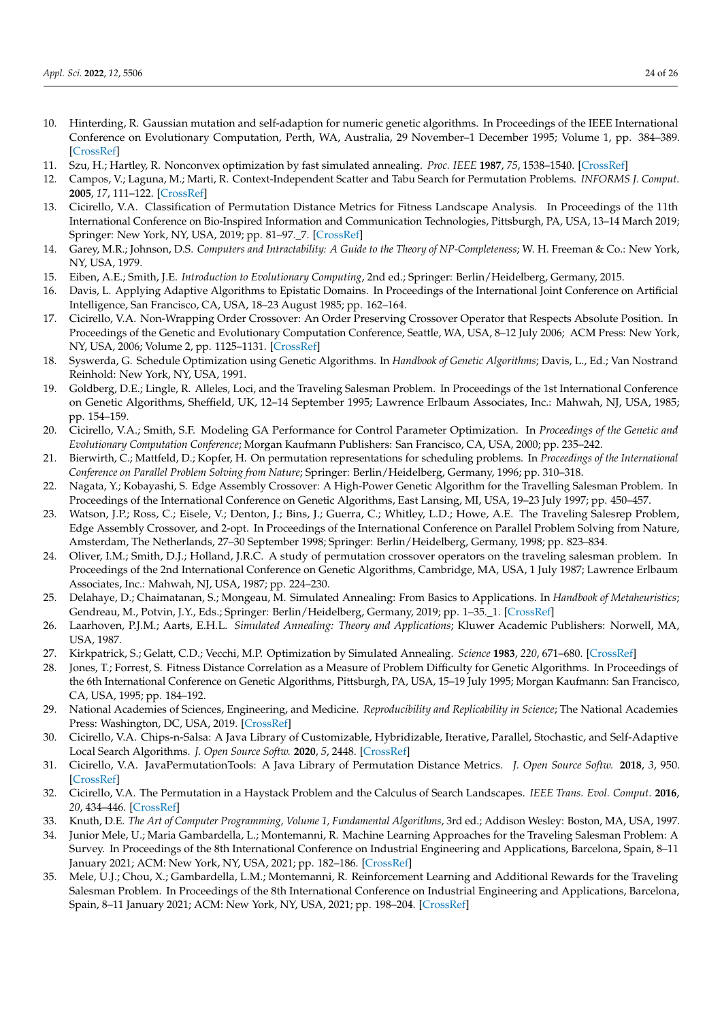- <span id="page-23-0"></span>10. Hinterding, R. Gaussian mutation and self-adaption for numeric genetic algorithms. In Proceedings of the IEEE International Conference on Evolutionary Computation, Perth, WA, Australia, 29 November–1 December 1995; Volume 1, pp. 384–389. [\[CrossRef\]](http://dx.doi.org/10.1109/ICEC.1995.489178)
- <span id="page-23-1"></span>11. Szu, H.; Hartley, R. Nonconvex optimization by fast simulated annealing. *Proc. IEEE* **1987**, *75*, 1538–1540. [\[CrossRef\]](http://dx.doi.org/10.1109/PROC.1987.13916)
- <span id="page-23-2"></span>12. Campos, V.; Laguna, M.; Marti, R. Context-Independent Scatter and Tabu Search for Permutation Problems. *INFORMS J. Comput.* **2005**, *17*, 111–122. [\[CrossRef\]](http://dx.doi.org/10.1287/ijoc.1030.0057)
- <span id="page-23-3"></span>13. Cicirello, V.A. Classification of Permutation Distance Metrics for Fitness Landscape Analysis. In Proceedings of the 11th International Conference on Bio-Inspired Information and Communication Technologies, Pittsburgh, PA, USA, 13–14 March 2019; Springer: New York, NY, USA, 2019; pp. 81–97.\_7. [\[CrossRef\]](http://dx.doi.org/10.1007/978-3-030-24202-2_7)
- <span id="page-23-4"></span>14. Garey, M.R.; Johnson, D.S. *Computers and Intractability: A Guide to the Theory of NP-Completeness*; W. H. Freeman & Co.: New York, NY, USA, 1979.
- <span id="page-23-5"></span>15. Eiben, A.E.; Smith, J.E. *Introduction to Evolutionary Computing*, 2nd ed.; Springer: Berlin/Heidelberg, Germany, 2015.
- <span id="page-23-6"></span>16. Davis, L. Applying Adaptive Algorithms to Epistatic Domains. In Proceedings of the International Joint Conference on Artificial Intelligence, San Francisco, CA, USA, 18–23 August 1985; pp. 162–164.
- <span id="page-23-7"></span>17. Cicirello, V.A. Non-Wrapping Order Crossover: An Order Preserving Crossover Operator that Respects Absolute Position. In Proceedings of the Genetic and Evolutionary Computation Conference, Seattle, WA, USA, 8–12 July 2006; ACM Press: New York, NY, USA, 2006; Volume 2, pp. 1125–1131. [\[CrossRef\]](http://dx.doi.org/10.1145/1143997.1144177)
- <span id="page-23-8"></span>18. Syswerda, G. Schedule Optimization using Genetic Algorithms. In *Handbook of Genetic Algorithms*; Davis, L., Ed.; Van Nostrand Reinhold: New York, NY, USA, 1991.
- <span id="page-23-9"></span>19. Goldberg, D.E.; Lingle, R. Alleles, Loci, and the Traveling Salesman Problem. In Proceedings of the 1st International Conference on Genetic Algorithms, Sheffield, UK, 12–14 September 1995; Lawrence Erlbaum Associates, Inc.: Mahwah, NJ, USA, 1985; pp. 154–159.
- <span id="page-23-10"></span>20. Cicirello, V.A.; Smith, S.F. Modeling GA Performance for Control Parameter Optimization. In *Proceedings of the Genetic and Evolutionary Computation Conference*; Morgan Kaufmann Publishers: San Francisco, CA, USA, 2000; pp. 235–242.
- <span id="page-23-11"></span>21. Bierwirth, C.; Mattfeld, D.; Kopfer, H. On permutation representations for scheduling problems. In *Proceedings of the International Conference on Parallel Problem Solving from Nature*; Springer: Berlin/Heidelberg, Germany, 1996; pp. 310–318.
- <span id="page-23-12"></span>22. Nagata, Y.; Kobayashi, S. Edge Assembly Crossover: A High-Power Genetic Algorithm for the Travelling Salesman Problem. In Proceedings of the International Conference on Genetic Algorithms, East Lansing, MI, USA, 19–23 July 1997; pp. 450–457.
- <span id="page-23-13"></span>23. Watson, J.P.; Ross, C.; Eisele, V.; Denton, J.; Bins, J.; Guerra, C.; Whitley, L.D.; Howe, A.E. The Traveling Salesrep Problem, Edge Assembly Crossover, and 2-opt. In Proceedings of the International Conference on Parallel Problem Solving from Nature, Amsterdam, The Netherlands, 27–30 September 1998; Springer: Berlin/Heidelberg, Germany, 1998; pp. 823–834.
- <span id="page-23-14"></span>24. Oliver, I.M.; Smith, D.J.; Holland, J.R.C. A study of permutation crossover operators on the traveling salesman problem. In Proceedings of the 2nd International Conference on Genetic Algorithms, Cambridge, MA, USA, 1 July 1987; Lawrence Erlbaum Associates, Inc.: Mahwah, NJ, USA, 1987; pp. 224–230.
- <span id="page-23-15"></span>25. Delahaye, D.; Chaimatanan, S.; Mongeau, M. Simulated Annealing: From Basics to Applications. In *Handbook of Metaheuristics*; Gendreau, M., Potvin, J.Y., Eds.; Springer: Berlin/Heidelberg, Germany, 2019; pp. 1–35.\_1. [\[CrossRef\]](http://dx.doi.org/10.1007/978-3-319-91086-4_1)
- 26. Laarhoven, P.J.M.; Aarts, E.H.L. *Simulated Annealing: Theory and Applications*; Kluwer Academic Publishers: Norwell, MA, USA, 1987.
- <span id="page-23-16"></span>27. Kirkpatrick, S.; Gelatt, C.D.; Vecchi, M.P. Optimization by Simulated Annealing. *Science* **1983**, *220*, 671–680. [\[CrossRef\]](http://dx.doi.org/10.1126/science.220.4598.671)
- <span id="page-23-17"></span>28. Jones, T.; Forrest, S. Fitness Distance Correlation as a Measure of Problem Difficulty for Genetic Algorithms. In Proceedings of the 6th International Conference on Genetic Algorithms, Pittsburgh, PA, USA, 15–19 July 1995; Morgan Kaufmann: San Francisco, CA, USA, 1995; pp. 184–192.
- <span id="page-23-18"></span>29. National Academies of Sciences, Engineering, and Medicine. *Reproducibility and Replicability in Science*; The National Academies Press: Washington, DC, USA, 2019. [\[CrossRef\]](http://dx.doi.org/10.17226/25303)
- <span id="page-23-19"></span>30. Cicirello, V.A. Chips-n-Salsa: A Java Library of Customizable, Hybridizable, Iterative, Parallel, Stochastic, and Self-Adaptive Local Search Algorithms. *J. Open Source Softw.* **2020**, *5*, 2448. [\[CrossRef\]](http://dx.doi.org/10.21105/joss.02448)
- <span id="page-23-20"></span>31. Cicirello, V.A. JavaPermutationTools: A Java Library of Permutation Distance Metrics. *J. Open Source Softw.* **2018**, *3*, 950. [\[CrossRef\]](http://dx.doi.org/10.21105/joss.00950)
- <span id="page-23-21"></span>32. Cicirello, V.A. The Permutation in a Haystack Problem and the Calculus of Search Landscapes. *IEEE Trans. Evol. Comput.* **2016**, *20*, 434–446. [\[CrossRef\]](http://dx.doi.org/10.1109/TEVC.2015.2477284)
- <span id="page-23-22"></span>33. Knuth, D.E. *The Art of Computer Programming, Volume 1, Fundamental Algorithms*, 3rd ed.; Addison Wesley: Boston, MA, USA, 1997.
- <span id="page-23-23"></span>34. Junior Mele, U.; Maria Gambardella, L.; Montemanni, R. Machine Learning Approaches for the Traveling Salesman Problem: A Survey. In Proceedings of the 8th International Conference on Industrial Engineering and Applications, Barcelona, Spain, 8–11 January 2021; ACM: New York, NY, USA, 2021; pp. 182–186. [\[CrossRef\]](http://dx.doi.org/10.1145/3463858.3463869)
- <span id="page-23-24"></span>35. Mele, U.J.; Chou, X.; Gambardella, L.M.; Montemanni, R. Reinforcement Learning and Additional Rewards for the Traveling Salesman Problem. In Proceedings of the 8th International Conference on Industrial Engineering and Applications, Barcelona, Spain, 8–11 January 2021; ACM: New York, NY, USA, 2021; pp. 198–204. [\[CrossRef\]](http://dx.doi.org/10.1145/3463858.3463885)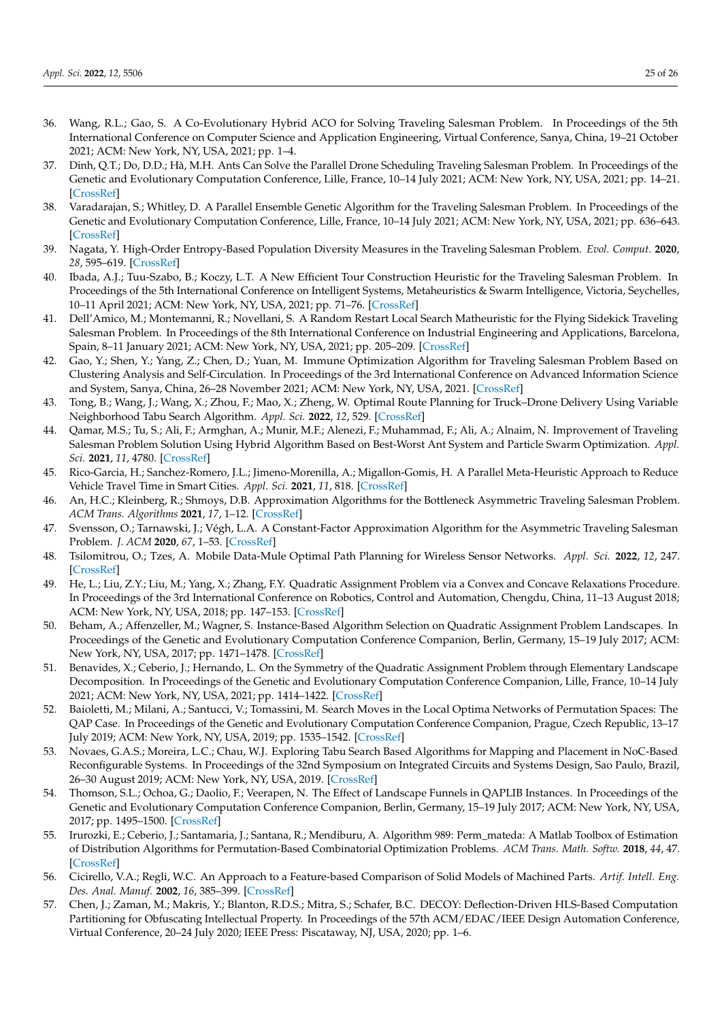- <span id="page-24-0"></span>36. Wang, R.L.; Gao, S. A Co-Evolutionary Hybrid ACO for Solving Traveling Salesman Problem. In Proceedings of the 5th International Conference on Computer Science and Application Engineering, Virtual Conference, Sanya, China, 19–21 October 2021; ACM: New York, NY, USA, 2021; pp. 1–4.
- <span id="page-24-1"></span>37. Dinh, Q.T.; Do, D.D.; Hà, M.H. Ants Can Solve the Parallel Drone Scheduling Traveling Salesman Problem. In Proceedings of the Genetic and Evolutionary Computation Conference, Lille, France, 10–14 July 2021; ACM: New York, NY, USA, 2021; pp. 14–21. [\[CrossRef\]](http://dx.doi.org/10.1145/3449639.3459342)
- <span id="page-24-2"></span>38. Varadarajan, S.; Whitley, D. A Parallel Ensemble Genetic Algorithm for the Traveling Salesman Problem. In Proceedings of the Genetic and Evolutionary Computation Conference, Lille, France, 10–14 July 2021; ACM: New York, NY, USA, 2021; pp. 636–643. [\[CrossRef\]](http://dx.doi.org/10.1145/3449639.3459281)
- <span id="page-24-3"></span>39. Nagata, Y. High-Order Entropy-Based Population Diversity Measures in the Traveling Salesman Problem. *Evol. Comput.* **2020**, *28*, 595–619. [\[CrossRef\]](http://dx.doi.org/10.1162/evco_a_00268)
- <span id="page-24-4"></span>40. Ibada, A.J.; Tuu-Szabo, B.; Koczy, L.T. A New Efficient Tour Construction Heuristic for the Traveling Salesman Problem. In Proceedings of the 5th International Conference on Intelligent Systems, Metaheuristics & Swarm Intelligence, Victoria, Seychelles, 10–11 April 2021; ACM: New York, NY, USA, 2021; pp. 71–76. [\[CrossRef\]](http://dx.doi.org/10.1145/3461598.3461610)
- <span id="page-24-5"></span>41. Dell'Amico, M.; Montemanni, R.; Novellani, S. A Random Restart Local Search Matheuristic for the Flying Sidekick Traveling Salesman Problem. In Proceedings of the 8th International Conference on Industrial Engineering and Applications, Barcelona, Spain, 8–11 January 2021; ACM: New York, NY, USA, 2021; pp. 205–209. [\[CrossRef\]](http://dx.doi.org/10.1145/3463858.3463866)
- 42. Gao, Y.; Shen, Y.; Yang, Z.; Chen, D.; Yuan, M. Immune Optimization Algorithm for Traveling Salesman Problem Based on Clustering Analysis and Self-Circulation. In Proceedings of the 3rd International Conference on Advanced Information Science and System, Sanya, China, 26–28 November 2021; ACM: New York, NY, USA, 2021. [\[CrossRef\]](http://dx.doi.org/10.1145/3503047.3503056)
- <span id="page-24-9"></span>43. Tong, B.; Wang, J.; Wang, X.; Zhou, F.; Mao, X.; Zheng, W. Optimal Route Planning for Truck–Drone Delivery Using Variable Neighborhood Tabu Search Algorithm. *Appl. Sci.* **2022**, *12*, 529. [\[CrossRef\]](http://dx.doi.org/10.3390/app12010529)
- 44. Qamar, M.S.; Tu, S.; Ali, F.; Armghan, A.; Munir, M.F.; Alenezi, F.; Muhammad, F.; Ali, A.; Alnaim, N. Improvement of Traveling Salesman Problem Solution Using Hybrid Algorithm Based on Best-Worst Ant System and Particle Swarm Optimization. *Appl. Sci.* **2021**, *11*, 4780. [\[CrossRef\]](http://dx.doi.org/10.3390/app11114780)
- <span id="page-24-6"></span>45. Rico-Garcia, H.; Sanchez-Romero, J.L.; Jimeno-Morenilla, A.; Migallon-Gomis, H. A Parallel Meta-Heuristic Approach to Reduce Vehicle Travel Time in Smart Cities. *Appl. Sci.* **2021**, *11*, 818. [\[CrossRef\]](http://dx.doi.org/10.3390/app11020818)
- <span id="page-24-7"></span>46. An, H.C.; Kleinberg, R.; Shmoys, D.B. Approximation Algorithms for the Bottleneck Asymmetric Traveling Salesman Problem. *ACM Trans. Algorithms* **2021**, *17*, 1–12. [\[CrossRef\]](http://dx.doi.org/10.1145/3478537)
- <span id="page-24-8"></span>47. Svensson, O.; Tarnawski, J.; Végh, L.A. A Constant-Factor Approximation Algorithm for the Asymmetric Traveling Salesman Problem. *J. ACM* **2020**, *67*, 1–53. [\[CrossRef\]](http://dx.doi.org/10.1145/3424306)
- <span id="page-24-10"></span>48. Tsilomitrou, O.; Tzes, A. Mobile Data-Mule Optimal Path Planning for Wireless Sensor Networks. *Appl. Sci.* **2022**, *12*, 247. [\[CrossRef\]](http://dx.doi.org/10.3390/app12010247)
- <span id="page-24-11"></span>49. He, L.; Liu, Z.Y.; Liu, M.; Yang, X.; Zhang, F.Y. Quadratic Assignment Problem via a Convex and Concave Relaxations Procedure. In Proceedings of the 3rd International Conference on Robotics, Control and Automation, Chengdu, China, 11–13 August 2018; ACM: New York, NY, USA, 2018; pp. 147–153. [\[CrossRef\]](http://dx.doi.org/10.1145/3265639.3265665)
- 50. Beham, A.; Affenzeller, M.; Wagner, S. Instance-Based Algorithm Selection on Quadratic Assignment Problem Landscapes. In Proceedings of the Genetic and Evolutionary Computation Conference Companion, Berlin, Germany, 15–19 July 2017; ACM: New York, NY, USA, 2017; pp. 1471–1478. [\[CrossRef\]](http://dx.doi.org/10.1145/3067695.3082513)
- 51. Benavides, X.; Ceberio, J.; Hernando, L. On the Symmetry of the Quadratic Assignment Problem through Elementary Landscape Decomposition. In Proceedings of the Genetic and Evolutionary Computation Conference Companion, Lille, France, 10–14 July 2021; ACM: New York, NY, USA, 2021; pp. 1414–1422. [\[CrossRef\]](http://dx.doi.org/10.1145/3449726.3463191)
- 52. Baioletti, M.; Milani, A.; Santucci, V.; Tomassini, M. Search Moves in the Local Optima Networks of Permutation Spaces: The QAP Case. In Proceedings of the Genetic and Evolutionary Computation Conference Companion, Prague, Czech Republic, 13–17 July 2019; ACM: New York, NY, USA, 2019; pp. 1535–1542. [\[CrossRef\]](http://dx.doi.org/10.1145/3319619.3326849)
- 53. Novaes, G.A.S.; Moreira, L.C.; Chau, W.J. Exploring Tabu Search Based Algorithms for Mapping and Placement in NoC-Based Reconfigurable Systems. In Proceedings of the 32nd Symposium on Integrated Circuits and Systems Design, Sao Paulo, Brazil, 26–30 August 2019; ACM: New York, NY, USA, 2019. [\[CrossRef\]](http://dx.doi.org/10.1145/3338852.3339843)
- 54. Thomson, S.L.; Ochoa, G.; Daolio, F.; Veerapen, N. The Effect of Landscape Funnels in QAPLIB Instances. In Proceedings of the Genetic and Evolutionary Computation Conference Companion, Berlin, Germany, 15–19 July 2017; ACM: New York, NY, USA, 2017; pp. 1495–1500. [\[CrossRef\]](http://dx.doi.org/10.1145/3067695.3082512)
- <span id="page-24-12"></span>55. Irurozki, E.; Ceberio, J.; Santamaria, J.; Santana, R.; Mendiburu, A. Algorithm 989: Perm\_mateda: A Matlab Toolbox of Estimation of Distribution Algorithms for Permutation-Based Combinatorial Optimization Problems. *ACM Trans. Math. Softw.* **2018**, *44*, 47. [\[CrossRef\]](http://dx.doi.org/10.1145/3206429)
- <span id="page-24-13"></span>56. Cicirello, V.A.; Regli, W.C. An Approach to a Feature-based Comparison of Solid Models of Machined Parts. *Artif. Intell. Eng. Des. Anal. Manuf.* **2002**, *16*, 385–399. [\[CrossRef\]](http://dx.doi.org/10.1017/S0890060402165048)
- <span id="page-24-14"></span>57. Chen, J.; Zaman, M.; Makris, Y.; Blanton, R.D.S.; Mitra, S.; Schafer, B.C. DECOY: Deflection-Driven HLS-Based Computation Partitioning for Obfuscating Intellectual Property. In Proceedings of the 57th ACM/EDAC/IEEE Design Automation Conference, Virtual Conference, 20–24 July 2020; IEEE Press: Piscataway, NJ, USA, 2020; pp. 1–6.